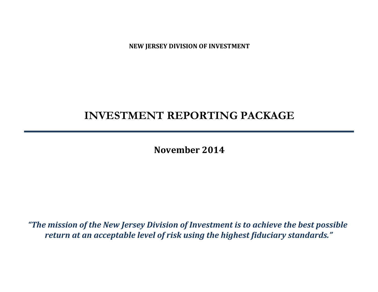**NEW JERSEY DIVISION OF INVESTMENT**

# **INVESTMENT REPORTING PACKAGE**

**November 2014**

*"The mission of the New Jersey Division of Investment is to achieve the best possible return at an acceptable level of risk using the highest fiduciary standards."*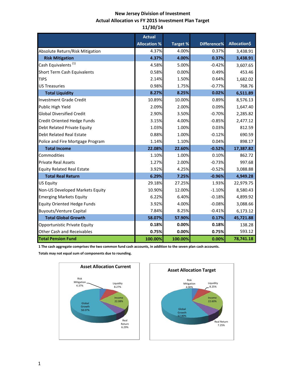# **New Jersey Division of Investment Actual Allocation vs FY 2015 Investment Plan Target 11/30/14**

|                                    | <b>Actual</b>       |                 |             |                     |
|------------------------------------|---------------------|-----------------|-------------|---------------------|
|                                    | <b>Allocation %</b> | <b>Target %</b> | Difference% | <b>Allocation\$</b> |
| Absolute Return/Risk Mitigation    | 4.37%               | 4.00%           | 0.37%       | 3,438.91            |
| <b>Risk Mitigation</b>             | 4.37%               | 4.00%           | 0.37%       | 3,438.91            |
| Cash Equivalents <sup>(1)</sup>    | 4.58%               | 5.00%           | $-0.42%$    | 3,607.65            |
| Short Term Cash Equivalents        | 0.58%               | 0.00%           | 0.49%       | 453.46              |
| <b>TIPS</b>                        | 2.14%               | 1.50%           | 0.64%       | 1,682.02            |
| <b>US Treasuries</b>               | 0.98%               | 1.75%           | $-0.77%$    | 768.76              |
| <b>Total Liquidity</b>             | 8.27%               | 8.25%           | 0.02%       | 6,511.89            |
| <b>Investment Grade Credit</b>     | 10.89%              | 10.00%          | 0.89%       | 8,576.13            |
| Public High Yield                  | 2.09%               | 2.00%           | 0.09%       | 1,647.40            |
| <b>Global Diversified Credit</b>   | 2.90%               | 3.50%           | $-0.70%$    | 2,285.82            |
| <b>Credit Oriented Hedge Funds</b> | 3.15%               | 4.00%           | $-0.85%$    | 2,477.12            |
| Debt Related Private Equity        | 1.03%               | 1.00%           | 0.03%       | 812.59              |
| <b>Debt Related Real Estate</b>    | 0.88%               | 1.00%           | $-0.12%$    | 690.59              |
| Police and Fire Mortgage Program   | 1.14%               | 1.10%           | 0.04%       | 898.17              |
| <b>Total Income</b>                | 22.08%              | 22.60%          | $-0.52%$    | 17,387.82           |
| Commodities                        | 1.10%               | 1.00%           | 0.10%       | 862.72              |
| <b>Private Real Assets</b>         | 1.27%               | 2.00%           | $-0.73%$    | 997.68              |
| <b>Equity Related Real Estate</b>  | 3.92%               | 4.25%           | $-0.52%$    | 3,088.88            |
| <b>Total Real Return</b>           | 6.29%               | 7.25%           | $-0.96%$    | 4,949.28            |
| <b>US Equity</b>                   | 29.18%              | 27.25%          | 1.93%       | 22,979.75           |
| Non-US Developed Markets Equity    | 10.90%              | 12.00%          | $-1.10%$    | 8,580.43            |
| <b>Emerging Markets Equity</b>     | 6.22%               | 6.40%           | $-0.18%$    | 4,899.92            |
| <b>Equity Oriented Hedge Funds</b> | 3.92%               | 4.00%           | $-0.08%$    | 3,088.66            |
| <b>Buyouts/Venture Capital</b>     | 7.84%               | 8.25%           | $-0.41%$    | 6,173.12            |
| <b>Total Global Growth</b>         | 58.07%              | 57.90%          | 0.17%       | 45,721.88           |
| Opportunistic Private Equity       | 0.18%               | 0.00%           | 0.18%       | 138.28              |
| <b>Other Cash and Receivables</b>  | 0.75%               | 0.00%           | 0.75%       | 593.12              |
| <b>Total Pension Fund</b>          | 100.00%             | 100.00%         | 0.00%       | 78,741.18           |

**1 The cash aggregate comprises the two common fund cash accounts, in addition to the seven plan cash accounts.** 

**Totals may not equal sum of components due to rounding.**



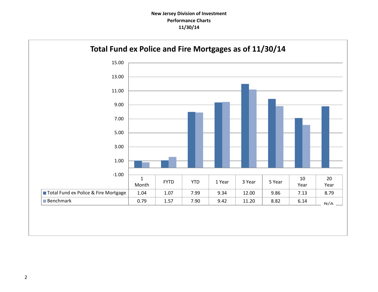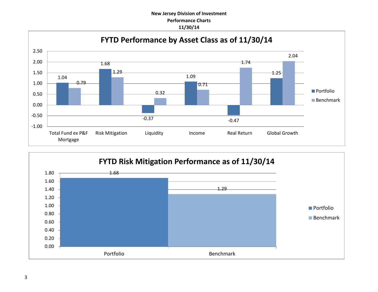# **New Jersey Division of Investment Performance Charts 11/30/14**



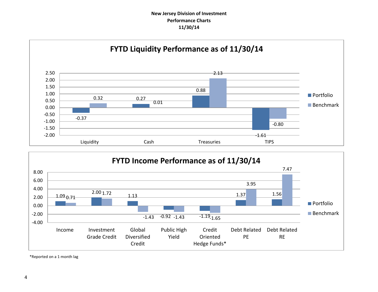## **New Jersey Division of Investment Performance Charts 11/30/14**





\*Reported on a 1 month lag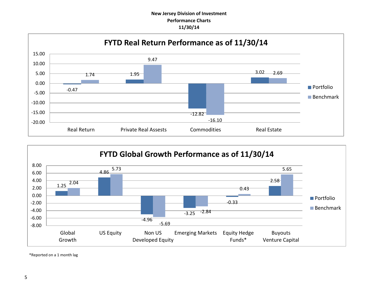## **New Jersey Division of Investment Performance Charts 11/30/14**





\*Reported on a 1 month lag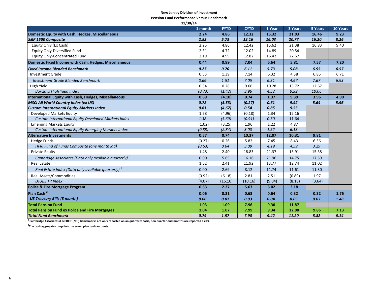#### **New Jersey Division of Investment**

**Pension Fund Performance Versus Benchmark**

| 11/30/14                                                       |         |             |             |        |         |         |          |  |
|----------------------------------------------------------------|---------|-------------|-------------|--------|---------|---------|----------|--|
|                                                                | 1 month | <b>FYTD</b> | <b>CYTD</b> | 1 Year | 3 Years | 5 Years | 10 Years |  |
| Domestic Equity with Cash, Hedges, Miscellaneous               | 2.24    | 4.86        | 12.32       | 15.32  | 21.03   | 16.46   | 9.23     |  |
| S&P 1500 Composite                                             | 2.52    | 5.73        | 13.16       | 16.03  | 20.77   | 16.20   | 8.26     |  |
| Equity Only (Ex Cash)                                          | 2.25    | 4.86        | 12.42       | 15.62  | 21.38   | 16.83   | 9.40     |  |
| <b>Equity Only-Diversified Fund</b>                            | 2.31    | 4.72        | 12.02       | 14.89  | 20.54   |         |          |  |
| <b>Equity Only-Concentrated Fund</b>                           | 2.19    | 4.99        | 12.82       | 16.42  | 22.67   |         |          |  |
| Domestic Fixed Income with Cash, Hedges, Miscellaneous         | 0.44    | 0.99        | 7.04        | 6.64   | 5.81    | 7.57    | 7.20     |  |
| <b>Fixed Income Blended Benchmark</b>                          | 0.27    | 0.70        | 6.11        | 5.73   | 5.08    | 6.95    | 6.57     |  |
| <b>Investment Grade</b>                                        | 0.53    | 1.39        | 7.14        | 6.32   | 4.38    | 6.85    | 6.71     |  |
| <b>Investment Grade Blended Benchmark</b>                      | 0.66    | 1.51        | 7.05        | 6.31   | 4.67    | 7.67    | 6.93     |  |
| High Yield                                                     | 0.34    | 0.28        | 9.66        | 10.28  | 13.72   | 12.67   |          |  |
| <b>Barclays High Yield Index</b>                               | (0.73)  | (1.42)      | 3.96        | 4.52   | 9.92    | 10.06   |          |  |
| <b>International Equity with Cash, Hedges, Miscellaneous</b>   | 0.69    | (4.10)      | 0.74        | 1.37   | 9.39    | 3.96    | 4.90     |  |
| <b>MSCI All World Country Index (ex US)</b>                    | 0.72    | (5.53)      | (0.27)      | 0.61   | 9.92    | 5.64    | 5.96     |  |
| <b>Custom International Equity Markets Index</b>               | 0.61    | (4.67)      | 0.54        | 0.85   | 9.53    |         |          |  |
| Developed Markets Equity                                       | 1.58    | (4.96)      | (0.18)      | 1.34   | 12.16   |         |          |  |
| Custom International Equity Developed Markets Index            | 1.38    | (5.69)      | (0.91)      | 0.50   | 11.64   |         |          |  |
| <b>Emerging Markets Equity</b>                                 | (1.02)  | (3.25)      | 1.96        | 1.22   | 4.87    |         |          |  |
| <b>Custom International Equity Emerging Markets Index</b>      | (0.83)  | (2.84)      | 3.00        | 1.52   | 6.13    |         |          |  |
| <b>Alternative Investments</b>                                 | 0.57    | 0.74        | 10.37       | 12.07  | 10.31   | 9.81    |          |  |
| <b>Hedge Funds</b>                                             | (0.27)  | 0.26        | 5.82        | 7.45   | 8.43    | 6.36    |          |  |
| HFRI Fund of Funds Composite (one month lag)                   | (0.63)  | 0.64        | 3.09        | 4.19   | 4.59    | 3.29    |          |  |
| <b>Private Equity</b>                                          | 1.48    | 2.40        | 18.83       | 21.37  | 15.91   | 15.38   |          |  |
| Cambridge Associates (Data only available quarterly) $1$       | 0.00    | 5.65        | 16.16       | 21.96  | 14.75   | 17.59   |          |  |
| <b>Real Estate</b>                                             | 1.62    | 2.41        | 11.92       | 13.77  | 12.74   | 11.02   |          |  |
| Real Estate Index (Data only available quarterly) <sup>1</sup> | 0.00    | 2.69        | 8.12        | 11.74  | 11.61   | 11.30   |          |  |
| <b>Real Assets/Commodities</b>                                 | (0.92)  | (6.18)      | 2.81        | 2.51   | (0.89)  | 1.97    |          |  |
| <b>DJUBS TR Index</b>                                          | (4.07)  | (16.10)     | (10.16)     | (9.04) | (8.18)  | (3.64)  |          |  |
| Police & Fire Mortgage Program                                 | 0.63    | 2.27        | 5.63        | 6.02   | 3.18    |         |          |  |
| Plan Cash <sup>2</sup>                                         | 0.06    | 0.31        | 0.63        | 0.64   | 0.32    | 0.32    | 1.76     |  |
| <b>US Treasury Bills (3 month)</b>                             | 0.00    | 0.01        | 0.03        | 0.04   | 0.05    | 0.07    | 1.48     |  |
| <b>Total Pension Fund</b>                                      | 1.03    | 1.09        | 7.96        | 9.30   | 11.87   |         |          |  |
| <b>Total Pension Fund ex Police and Fire Mortgages</b>         | 1.04    | 1.07        | 7.99        | 9.34   | 12.00   | 9.86    | 7.13     |  |
| <b>Total Fund Benchmark</b>                                    | 0.79    | 1.57        | 7.90        | 9.42   | 11.20   | 8.82    | 6.14     |  |

**1 Cambridge Associates & NCREIF (NPI) Benchmarks are only reported on an quarterly basis, non quarter-end months are reported as 0%**

**2 The cash aggregate comprises the seven plan cash accounts**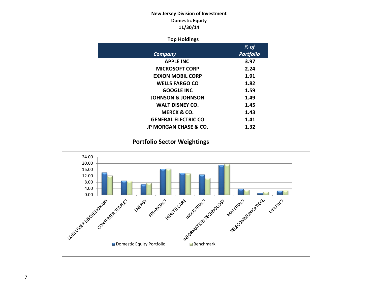# **New Jersey Division of Investment Domestic Equity 11/30/14**

## **Top Holdings**

|                                  | % of             |
|----------------------------------|------------------|
| Company                          | <b>Portfolio</b> |
| <b>APPLE INC</b>                 | 3.97             |
| <b>MICROSOFT CORP</b>            | 2.24             |
| <b>EXXON MOBIL CORP</b>          | 1.91             |
| <b>WELLS FARGO CO</b>            | 1.82             |
| <b>GOOGLE INC</b>                | 1.59             |
| <b>JOHNSON &amp; JOHNSON</b>     | 1.49             |
| <b>WALT DISNEY CO.</b>           | 1.45             |
| MERCK & CO.                      | 1.43             |
| <b>GENERAL ELECTRIC CO</b>       | 1.41             |
| <b>JP MORGAN CHASE &amp; CO.</b> | 1.32             |

# **Portfolio Sector Weightings**

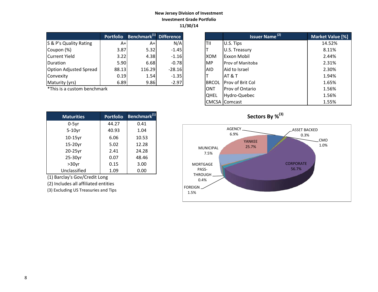## **New Jersey Division of Investment Investment Grade Portfolio 11/30/14**

|                               | <b>Portfolio</b> | Benchmark <sup>(1)</sup> Difference |          |              | Issuer Name <sup>(2)</sup> | <b>Market Valu</b> |
|-------------------------------|------------------|-------------------------------------|----------|--------------|----------------------------|--------------------|
| S & P's Quality Rating        | A+               | A+                                  | N/A      | <b>TII</b>   | U.S. Tips                  | 14.52%             |
| Coupon (%)                    | 3.87             | 5.32                                | $-1.45$  |              | U.S. Treasury              | 8.11%              |
| Current Yield                 | 3.22             | 4.38                                | $-1.16$  | <b>XOM</b>   | <b>Exxon Mobil</b>         | 2.44%              |
| <b>IDuration</b>              | 5.90             | 6.68                                | $-0.78$  | <b>MP</b>    | <b>Prov of Manitoba</b>    | 2.31%              |
| <b>Option Adjusted Spread</b> | 88.13            | 116.29                              | $-28.16$ | <b>AID</b>   | Aid to Israel              | 2.30%              |
| Convexity                     | 0.19             | 1.54                                | $-1.35$  |              | IAT & T                    | 1.94%              |
| Maturity (yrs)                | 6.89             | 9.86                                | $-2.97$  | <b>BRCOL</b> | <b>Prov of Brit Col</b>    | 1.65%              |

\*This is a custom benchmark

| <b>Maturities</b> | <b>Portfolio</b> | Benchmark <sup>(1)</sup> |
|-------------------|------------------|--------------------------|
| $0-5$ yr          | 44.27            | 0.41                     |
| $5-10$ yr         | 40.93            | 1.04                     |
| $10-15$ yr        | 6.06             | 10.53                    |
| $15-20$ yr        | 5.02             | 12.28                    |
| 20-25yr           | 2.41             | 24.28                    |
| 25-30yr           | 0.07             | 48.46                    |
| $>30$ yr          | 0.15             | 3.00                     |
| Unclassified      | 1.09             | 0.00                     |

(1) Barclay's Gov/Credit Long

(2) Includes all affiliated entities

(3) Excluding US Treasuries and Tips

| <b>Portfolio</b> | Benchmark <sup>(1)</sup> Difference |          |              | <b>Issuer Name<sup>(2)</sup></b> | Market Value [%] |
|------------------|-------------------------------------|----------|--------------|----------------------------------|------------------|
| $A+$             | $A+$                                | N/A      | TII          | U.S. Tips                        | 14.52%           |
| 3.87             | 5.32                                | $-1.45$  |              | U.S. Treasury                    | 8.11%            |
| 3.22             | 4.38                                | $-1.16$  | <b>XOM</b>   | <b>Exxon Mobil</b>               | 2.44%            |
| 5.90             | 6.68                                | $-0.78$  | <b>MP</b>    | <b>Prov of Manitoba</b>          | 2.31%            |
| 88.13            | 116.29                              | $-28.16$ | <b>AID</b>   | Aid to Israel                    | 2.30%            |
| 0.19             | 1.54                                | $-1.35$  |              | <b>AT &amp; T</b>                | 1.94%            |
| 6.89             | 9.86                                | $-2.97$  | <b>BRCOL</b> | <b>Prov of Brit Col</b>          | 1.65%            |
| ۰k               |                                     |          | <b>ONT</b>   | Prov of Ontario                  | 1.56%            |
|                  |                                     |          | <b>QHEL</b>  | Hydro-Quebec                     | 1.56%            |
|                  |                                     |          |              | <b>CMCSA</b> Comcast             | 1.55%            |

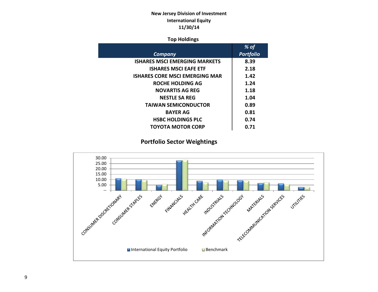# **New Jersey Division of Investment International Equity 11/30/14**

## **Top Holdings**

|                                       | % of             |
|---------------------------------------|------------------|
| <b>Company</b>                        | <b>Portfolio</b> |
| <b>ISHARES MSCI EMERGING MARKETS</b>  | 8.39             |
| <b>ISHARES MSCI EAFE ETF</b>          | 2.18             |
| <b>ISHARES CORE MSCI EMERGING MAR</b> | 1.42             |
| ROCHE HOLDING AG                      | 1.24             |
| <b>NOVARTIS AG REG</b>                | 1.18             |
| <b>NESTLE SA REG</b>                  | 1.04             |
| <b>TAIWAN SEMICONDUCTOR</b>           | 0.89             |
| <b>BAYER AG</b>                       | 0.81             |
| <b>HSBC HOLDINGS PLC</b>              | 0.74             |
| TOYOTA MOTOR CORP                     | 0.71             |
|                                       |                  |

# **Portfolio Sector Weightings**

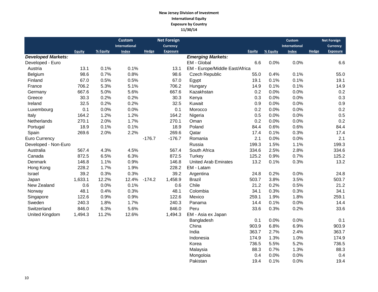## **New Jersey Division of Investment International Equity Exposure by Country 11/30/14**

|                           |               |          | <b>Custom</b><br><b>International</b> |          | <b>Net Foreign</b><br><b>Currency</b> |                                |               |          | <b>Custom</b><br><b>International</b> |              | <b>Net Foreign</b><br><b>Currency</b> |
|---------------------------|---------------|----------|---------------------------------------|----------|---------------------------------------|--------------------------------|---------------|----------|---------------------------------------|--------------|---------------------------------------|
|                           | <b>Equity</b> | % Equity | <b>Index</b>                          | Hedge    | <b>Exposure</b>                       |                                | <b>Equity</b> | % Equity | <b>Index</b>                          | <b>Hedge</b> | <b>Exposure</b>                       |
| <b>Developed Markets:</b> |               |          |                                       |          |                                       | <b>Emerging Markets:</b>       |               |          |                                       |              |                                       |
| Developed - Euro          |               |          |                                       |          |                                       | EM - Global                    | 6.6           | 0.0%     | 0.0%                                  |              | 6.6                                   |
| Austria                   | 13.1          | 0.1%     | 0.1%                                  |          | 13.1                                  | EM - Europe/Middle East/Africa |               |          |                                       |              |                                       |
| Belgium                   | 98.6          | 0.7%     | 0.8%                                  |          | 98.6                                  | <b>Czech Republic</b>          | 55.0          | 0.4%     | 0.1%                                  |              | 55.0                                  |
| Finland                   | 67.0          | 0.5%     | 0.5%                                  |          | 67.0                                  | Egypt                          | 19.1          | 0.1%     | 0.1%                                  |              | 19.1                                  |
| France                    | 706.2         | 5.3%     | 5.1%                                  |          | 706.2                                 | Hungary                        | 14.9          | 0.1%     | 0.1%                                  |              | 14.9                                  |
| Germany                   | 667.6         | 5.0%     | 5.6%                                  |          | 667.6                                 | Kazakhstan                     | 0.2           | 0.0%     | 0.0%                                  |              | 0.2                                   |
| Greece                    | 30.3          | 0.2%     | 0.2%                                  |          | 30.3                                  | Kenya                          | 0.3           | 0.0%     | 0.0%                                  |              | 0.3                                   |
| Ireland                   | 32.5          | 0.2%     | 0.2%                                  |          | 32.5                                  | Kuwait                         | 0.9           | 0.0%     | 0.0%                                  |              | 0.9                                   |
| Luxembourg                | 0.1           | 0.0%     | 0.0%                                  |          | 0.1                                   | Morocco                        | 0.2           | 0.0%     | 0.0%                                  |              | 0.2                                   |
| Italy                     | 164.2         | 1.2%     | 1.2%                                  |          | 164.2                                 | Nigeria                        | 0.5           | 0.0%     | 0.0%                                  |              | 0.5                                   |
| Netherlands               | 270.1         | 2.0%     | 1.7%                                  |          | 270.1                                 | Oman                           | 0.2           | 0.0%     | 0.0%                                  |              | 0.2                                   |
| Portugal                  | 18.9          | 0.1%     | 0.1%                                  |          | 18.9                                  | Poland                         | 84.4          | 0.6%     | 0.6%                                  |              | 84.4                                  |
| Spain                     | 269.6         | 2.0%     | 2.2%                                  |          | 269.6                                 | Qatar                          | 17.4          | 0.1%     | 0.3%                                  |              | 17.4                                  |
| <b>Euro Currency</b>      |               |          |                                       | $-176.7$ | $-176.7$                              | Romania                        | 2.1           | 0.0%     | 0.0%                                  |              | 2.1                                   |
| Developed - Non-Euro      |               |          |                                       |          |                                       | Russia                         | 199.3         | 1.5%     | 1.1%                                  |              | 199.3                                 |
| Australia                 | 567.4         | 4.3%     | 4.5%                                  |          | 567.4                                 | South Africa                   | 334.6         | 2.5%     | 2.8%                                  |              | 334.6                                 |
| Canada                    | 872.5         | 6.5%     | 6.3%                                  |          | 872.5                                 | Turkey                         | 125.2         | 0.9%     | 0.7%                                  |              | 125.2                                 |
| Denmark                   | 146.8         | 1.1%     | 0.9%                                  |          | 146.8                                 | <b>United Arab Emirates</b>    | 13.2          | 0.1%     | 0.3%                                  |              | 13.2                                  |
| Hong Kong                 | 228.2         | 1.7%     | 1.9%                                  |          | 228.2                                 | EM - Latam                     |               |          |                                       |              |                                       |
| Israel                    | 39.2          | 0.3%     | 0.3%                                  |          | 39.2                                  | Argentina                      | 24.8          | 0.2%     | 0.0%                                  |              | 24.8                                  |
| Japan                     | 1,633.1       | 12.2%    | 12.4%                                 | $-174.2$ | 1,458.9                               | <b>Brazil</b>                  | 503.7         | 3.8%     | 3.5%                                  |              | 503.7                                 |
| New Zealand               | 0.6           | 0.0%     | 0.1%                                  |          | 0.6                                   | Chile                          | 21.2          | 0.2%     | 0.5%                                  |              | 21.2                                  |
| Norway                    | 48.1          | 0.4%     | 0.3%                                  |          | 48.1                                  | Colombia                       | 34.1          | 0.3%     | 0.3%                                  |              | 34.1                                  |
| Singapore                 | 122.6         | 0.9%     | 0.9%                                  |          | 122.6                                 | Mexico                         | 259.1         | 1.9%     | 1.8%                                  |              | 259.1                                 |
| Sweden                    | 240.3         | 1.8%     | 1.7%                                  |          | 240.3                                 | Panama                         | 14.4          | 0.1%     | 0.0%                                  |              | 14.4                                  |
| Switzerland               | 846.0         | 6.3%     | 5.6%                                  |          | 846.0                                 | Peru                           | 33.6          | 0.3%     | 0.2%                                  |              | 33.6                                  |
| <b>United Kingdom</b>     | 1,494.3       | 11.2%    | 12.6%                                 |          | 1,494.3                               | EM - Asia ex Japan             |               |          |                                       |              |                                       |
|                           |               |          |                                       |          |                                       | Bangladesh                     | 0.1           | 0.0%     | 0.0%                                  |              | 0.1                                   |
|                           |               |          |                                       |          |                                       | China                          | 903.9         | 6.8%     | 6.9%                                  |              | 903.9                                 |
|                           |               |          |                                       |          |                                       | India                          | 363.7         | 2.7%     | 2.4%                                  |              | 363.7                                 |
|                           |               |          |                                       |          |                                       | Indonesia                      | 174.9         | 1.3%     | 1.0%                                  |              | 174.9                                 |
|                           |               |          |                                       |          |                                       | Korea                          | 736.5         | 5.5%     | 5.2%                                  |              | 736.5                                 |
|                           |               |          |                                       |          |                                       | Malaysia                       | 88.3          | 0.7%     | 1.3%                                  |              | 88.3                                  |
|                           |               |          |                                       |          |                                       | Mongoloia                      | 0.4           | 0.0%     | 0.0%                                  |              | 0.4                                   |
|                           |               |          |                                       |          |                                       | Pakistan                       | 19.4          | 0.1%     | 0.0%                                  |              | 19.4                                  |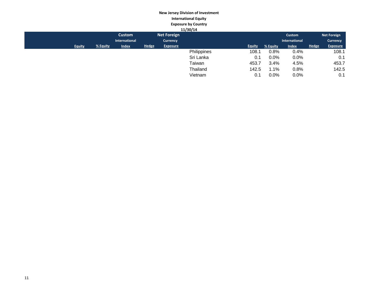# **New Jersey Division of Investment International Equity Exposure by Country**

|               |          |               |              |                    | 11/30/14    |               |          |               |              |                    |
|---------------|----------|---------------|--------------|--------------------|-------------|---------------|----------|---------------|--------------|--------------------|
|               |          | <b>Custom</b> |              | <b>Net Foreign</b> |             |               |          | Custom        |              | <b>Net Foreign</b> |
|               |          | International |              | <b>Currency</b>    |             |               |          | International |              | <b>Currency</b>    |
| <b>Equity</b> | % Equity | <b>Index</b>  | <b>Hedge</b> | <b>Exposure</b>    |             | <b>Equity</b> | % Equity | <b>Index</b>  | <b>Hedge</b> | <b>Exposure</b>    |
|               |          |               |              |                    | Philippines | 108.1         | 0.8%     | 0.4%          |              | 108.1              |
|               |          |               |              |                    | Sri Lanka   | 0.1           | 0.0%     | $0.0\%$       |              | 0.1                |
|               |          |               |              |                    | Taiwan      | 453.7         | 3.4%     | 4.5%          |              | 453.7              |
|               |          |               |              |                    | Thailand    | 142.5         | 1.1%     | 0.8%          |              | 142.5              |
|               |          |               |              |                    | Vietnam     | 0.1           | $0.0\%$  | $0.0\%$       |              | 0.1                |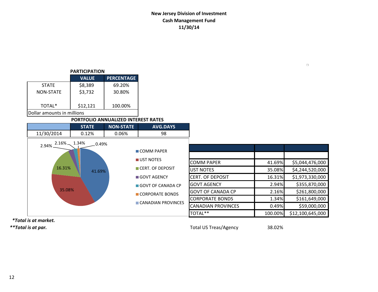# **New Jersey Division of Investment Cash Management Fund 11/30/14**

| <b>PARTICIPATION</b>       |              |                   |  |  |  |  |  |  |
|----------------------------|--------------|-------------------|--|--|--|--|--|--|
|                            | <b>VALUE</b> | <b>PERCENTAGE</b> |  |  |  |  |  |  |
| <b>STATF</b>               | \$8,389      | 69.20%            |  |  |  |  |  |  |
| NON-STATF                  | \$3,732      | 30.80%            |  |  |  |  |  |  |
| TOTAL*                     | \$12,121     | 100.00%           |  |  |  |  |  |  |
| Dollar amounts in millions |              |                   |  |  |  |  |  |  |

## **PORTFOLIO ANNUALIZED INTEREST RATES**

|                         | <b>STATE</b> | <b>NON-STATE</b> | <b>AVG.DAYS</b>      |                           |         |                  |
|-------------------------|--------------|------------------|----------------------|---------------------------|---------|------------------|
| 11/30/2014              | 0.12%        | 0.06%            | 98                   |                           |         |                  |
| $2.16\%$ 1.34%<br>2.94% | 0.49%        |                  |                      |                           |         |                  |
|                         |              |                  | COMM PAPER           |                           |         |                  |
|                         |              |                  | UST NOTES            | <b>COMM PAPER</b>         | 41.69%  | \$5,044,476,000  |
| 16.31%                  | 41.69%       |                  | CERT. OF DEPOSIT     | UST NOTES                 | 35.08%  | \$4,244,520,000  |
|                         |              |                  | <b>■ GOVT AGENCY</b> | <b>CERT. OF DEPOSIT</b>   | 16.31%  | \$1,973,330,000  |
|                         |              |                  | GOVT OF CANADA CP    | <b>I</b> GOVT AGENCY      | 2.94%   | \$355,870,000    |
| 35.08%                  |              |                  | CORPORATE BONDS      | <b>GOVT OF CANADA CP</b>  | 2.16%   | \$261,800,000    |
|                         |              |                  |                      | <b>CORPORATE BONDS</b>    | 1.34%   | \$161,649,000    |
|                         |              |                  | CANADIAN PROVINCES   | <b>CANADIAN PROVINCES</b> | 0.49%   | \$59,000,000     |
|                         |              |                  |                      | TOTAL**                   | 100.00% | \$12,100,645,000 |

 *\*Total is at market.*

*\*\*Total is at par.* Total US Treas/Agency 38.02%

 $\Box$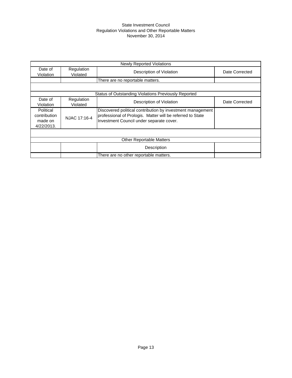## State Investment Council Regulation Violations and Other Reportable Matters November 30, 2014

| <b>Newly Reported Violations</b>                   |                        |                                                                                                                                                                      |                |  |  |  |  |  |
|----------------------------------------------------|------------------------|----------------------------------------------------------------------------------------------------------------------------------------------------------------------|----------------|--|--|--|--|--|
| Date of<br>Violation                               | Regulation<br>Violated | Description of Violation                                                                                                                                             | Date Corrected |  |  |  |  |  |
|                                                    |                        | There are no reportable matters.                                                                                                                                     |                |  |  |  |  |  |
|                                                    |                        |                                                                                                                                                                      |                |  |  |  |  |  |
|                                                    |                        | Status of Outstanding Violations Previously Reported                                                                                                                 |                |  |  |  |  |  |
| Date of<br>Violation                               | Regulation<br>Violated | Description of Violation                                                                                                                                             | Date Corrected |  |  |  |  |  |
| Political<br>contribution<br>made on<br>4/22/2013. | NJAC 17:16-4           | Discovered political contribution by investment management<br>professional of Prologis. Matter will be referred to State<br>Investment Council under separate cover. |                |  |  |  |  |  |
|                                                    |                        |                                                                                                                                                                      |                |  |  |  |  |  |
|                                                    |                        | <b>Other Reportable Matters</b>                                                                                                                                      |                |  |  |  |  |  |
|                                                    |                        | Description                                                                                                                                                          |                |  |  |  |  |  |
|                                                    |                        | There are no other reportable matters.                                                                                                                               |                |  |  |  |  |  |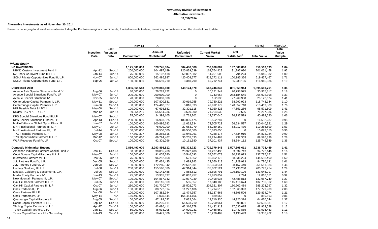#### **Alternative Investments as of November 30, 2014**

Presents underlying fund level information including the Portfolio's original commitments, funded amounts to date, remaining commitments and the distributions to date.

|                                             |                   |                           | <b>Nov-14</b> | A                                  |                               | в                              | C                                        | $=(B+C)$           | $=(B+C)/A$                        |
|---------------------------------------------|-------------------|---------------------------|---------------|------------------------------------|-------------------------------|--------------------------------|------------------------------------------|--------------------|-----------------------------------|
|                                             | Inception<br>Date | Last<br>Valuation<br>Date | Commitment    | Amount<br>Contributed <sup>1</sup> | <b>Unfunded</b><br>Commitment | <b>Current Market</b><br>Value | <b>Total</b><br>Distributed <sup>2</sup> | <b>Total Value</b> | Total<br>Value<br><b>Multiple</b> |
|                                             |                   |                           |               |                                    |                               |                                |                                          |                    |                                   |
| <b>Private Equity</b>                       |                   |                           |               |                                    |                               |                                |                                          |                    |                                   |
| <b>Co-Investments</b>                       |                   |                           | 1,175,000,000 | 578,745,804                        | 604,486,588                   | 753,000,887                    | 197,509,806                              | 950,510,693        | 1.64                              |
| NB/NJ Custom Investment Fund II             | Apr-12            | Sep-14                    | 200,000,000   | 104,497,189                        | 120,839,539                   | 169,764,428                    | 31,297,030                               | 201,061,458        | 1.92                              |
| NJ Roark Co-Invest Fund III LLC             | Jan-14            | $Jun-14$                  | 75,000,000    | 15,102,418                         | 59,897,582                    | 14,251,608                     | 794,224                                  | 15,045,832         | 1.00                              |
| SONJ Private Opportunities Fund II, L.P.    | Nov-07            | $Jun-14$                  | 800,000,000   | 362,486,987                        | 420,408,677                   | 519,272,111                    | 100,185,356                              | 619,457,467        | 1.71                              |
| SONJ Private Opportunities Fund, L.P.       | Sep-06            | $Jun-14$                  | 100,000,000   | 96,659,210                         | 3,340,790                     | 49,712,741                     | 65,233,196                               | 114,945,936        | 1.19                              |
| <b>Distressed Debt</b>                      |                   |                           | 1,336,861,543 | 1,029,869,600                      | 448,124,870                   | 563,746,847                    | 831,853,914                              | 1,395,600,761      | 1.36                              |
| Avenue Asia Special Situations Fund IV      | Aug-06            | Jun-14                    | 30,000,000    | 26,283,722                         | $\Omega$                      | 10,121,342                     | 20,793,975                               | 30,915,317         | 1.18                              |
| Avenue Special Situations Fund V, LP        | May-07            | $Jun-14$                  | 200,000,000   | 200,000,000                        | $\Omega$                      | 2,743,653                      | 263,184,545                              | 265,928,198        | 1.33                              |
| Avenue Special Situations IV                | Nov-05            | $Jun-14$                  | 20,000,000    | 20,000,000                         | $\Omega$                      | 152,636                        | 27,969,988                               | 28,122,624         | 1.41                              |
| Centerbridge Capital Partners II, L.P.      | May-11            | Sep-14                    | 100,000,000   | 107,800,531                        | 30,019,255                    | 79,750,221                     | 38,992,923                               | 118,743,144        | 1.10                              |
| Centerbridge Capital Partners, L.P.         | Jun-06            | Sep-14                    | 80,000,000    | 124,462,527                        | 5,816,833                     | 47,912,179                     | 170,557,710                              | 218,469,889        | 1.76                              |
| HIG Bayside Debt & LBO II                   | May-08            | Sep-14                    | 100,000,000   | 67,698,882                         | 32,301,118                    | 48,020,323                     | 47,551,286                               | 95,571,609         | 1.41                              |
| Knight/TPG NPL - R, L.P.                    | Mar-12            | $Jun-14$                  | 59,054,236    | 55,554,236                         | 3,500,000                     | 71,264,530                     | 2,506                                    | 71,267,036         | 1.28                              |
| KPS Special Situations Fund III, LP         | May-07            | Sep-14                    | 25,000,000    | 24,398,105                         | 11,762,702                    | 13,747,040                     | 26,737,579                               | 40,484,620         | 1.66                              |
| KPS Special Situations Fund IV, LP          | Apr-13            | Sep-14                    | 200,000,000   | 16,903,525                         | 183,096,475                   | 16,552,287                     | $\Omega$                                 | 16,552,287         | 0.98                              |
| MatlinPatterson Global Opps. Ptnrs. III     | Jun-07            | $Jun-14$                  | 100,000,000   | 100,886,693                        | 11,062,334                    | 73,505,723                     | 56,534,597                               | 130,040,321        | 1.29                              |
| MHR Institutional Partners III, L.P.        | May-07            | Oct-14                    | 75,000,000    | 78,000,000                         | 27,653,979                    | 56,249,169                     | 63,017,430                               | 119,266,599        | 1.53                              |
| MHR Institutional Partners IV, L.P.         | $Jul-14$          | $Oct-14$                  | 100,000,000   | 10,500,000                         | 89,500,000                    |                                | $\mathbf 0$                              | 10,093,650         | 0.96                              |
| TPG Financial Partners, L.P.                | May-08            | $Jun-14$                  | 47,807,307    | 35,285,615                         | 13,045,061                    | 10,093,650<br>7,238,174        | 27,634,910                               | 34,873,084         | 0.99                              |
| TPG Opportunities Partners II, L.P.         | Mar-12            | $Jun-14$                  | 100,000,000   | 69,794,467                         | 30,205,533                    | 89,294,483                     | 232,353                                  | 89,526,836         | 1.28                              |
| WLR Recovery Fund IV, LP                    | Oct-07            | Sep-14                    | 100,000,000   | 92,301,296                         | 10,161,580                    | 37,101,437                     | 88,644,112                               | 125,745,549        | 1.36                              |
|                                             |                   |                           |               |                                    |                               |                                |                                          |                    |                                   |
| <b>Domestic Midmarket Buyout</b>            |                   |                           | 2,886,490,000 | 2,293,898,512                      | 851,323,723                   | 1,729,379,848                  | 1,507,398,611                            | 3,236,778,459      | 1.41                              |
| American Industrial Partners Capital Fund V | Dec-11            | Sep-14                    | 50,000,000    | 30,055,760                         | 23,322,408                    | 31,237,433                     | 3,534,713                                | 34,772,146         | 1.16                              |
| Court Square Capital Partners II, L.P.      | May-07            | Jun-14                    | 100,000,000   | 91,007,280                         | 10,546,593                    | 57,552,078                     | 80,233,073                               | 137,785,151        | 1.51                              |
| InterMedia Partners VII, L.P.               | Dec-05            | $Jun-14$                  | 75,000,000    | 96,252,158                         | 621,562                       | 86,052,176                     | 58,636,224                               | 144,688,400        | 1.50                              |
| JLL Partners Fund V, L.P.                   | Dec-05            | Sep-14                    | 50,000,000    | 52,634,435                         | 1,689,843                     | 23,050,218                     | 61,729,913                               | 84,780,131         | 1.61                              |
| JLL Partners Fund VI, LP                    | <b>Jun-08</b>     | Sep-14                    | 150,000,000   | 172,285,842                        | 29,662,601                    | 153,353,644                    | 98,157,440                               | 251,511,084        | 1.46                              |
| Lindsay Goldberg III, L.P.                  | Jul-08            | $Jun-14$                  | 200,000,000   | 155,580,580                        | 47,314,844                    | 138,062,524                    | 62,730,230                               | 200,792,754        | 1.29                              |
| Lindsay, Goldberg & Bessemer II, L.P.       | $Jul-06$          | Sep-14                    | 100,000,000   | 92,141,488                         | 7,858,512                     | 23,896,791                     | 109,150,126                              | 133,046,917        | 1.44                              |
| Marlin Equity Partners IV                   | $Jun-13$          | Sep-14                    | 75,000,000    | 13,935,337                         | 61,067,457                    | 12,813,857                     | 2,794                                    | 12,816,651         | 0.92                              |
| New Mountain Partners III, L.P.             | May-07            | Sep-14                    | 100,000,000   | 104,867,342                        | 12,037,939                    | 90,498,936                     | 42,488,813                               | 132,987,749        | 1.27                              |
| Oak Hill Capital Partners II, L.P.          | <b>Jul-05</b>     | $Jun-14$                  | 75,000,000    | 83,116,369                         | 585,557                       | 17,340,188                     | 115,416,674                              | 132,756,862        | 1.60                              |
| Oak Hill Capital Partners III, L.P.         | Oct-07            | $Jun-14$                  | 250,000,000   | 291,730,277                        | 26,502,073                    | 204,321,307                    | 180,902,489                              | 385,223,797        | 1.32                              |
| Onex Partners II, LP                        | Aug-06            | $Jun-14$                  | 100,000,000   | 88,772,814                         | 11,227,186                    | 15,714,516                     | 162,065,393                              | 177,779,909        | 2.00                              |
| Onex Partners III, LP                       | Dec-08            | $Jun-14$                  | 100,000,000   | 107,382,944                        | 11,474,357                    | 85,137,568                     | 44,696,506                               | 129,834,074        | 1.21                              |
| Onex Partners IV, LP                        | May-14            | N/A                       | 166,490,000   | 1,035,844                          | 165,454,156                   | 889,563                        | $\Omega$                                 | 889,563            | 0.86                              |
| Quadrangle Capital Partners II              | Aug-05            | Sep-14                    | 50,000,000    | 47,192,022                         | 7,032,064                     | 19,710,330                     | 44,920,314                               | 64,630,644         | 1.37                              |
| Roark Capital Partners III L.P.             | Sep-12            | Sep-14                    | 100,000,000   | 45,295,111                         | 55,603,710                    | 49,700,061                     | 898,821                                  | 50,598,881         | 1.12                              |
| Sterling Capital Partners IV, L.P.          | Apr-12            | Sep-14                    | 100,000,000   | 43,680,411                         | 62,316,278                    | 31,432,913                     | 17,530,615                               | 48,963,528         | 1.12                              |
| Tenex Capital Partners, L.P.                | Jan-11            | Sep-14                    | 50,000,000    | 46,938,905                         | 14,020,231                    | 40,468,569                     | 11,447,885                               | 51,916,453         | 1.11                              |
| Tenex Capital Partners LP - Secondary       | Feb-13            | $Sep-14$                  | 20,000,000    | 16,471,506                         | 7,343,821                     | 16,226,469                     | 3,130,493                                | 19,356,962         | 1.18                              |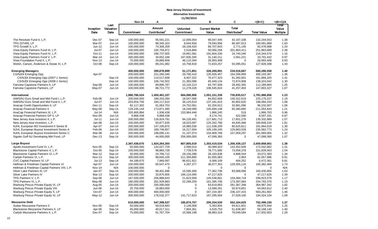| <b>Total</b><br><b>Amount</b><br><b>Current Market</b><br>Value<br>Valuation<br><b>Unfunded</b><br>Inception<br>Distributed <sup>2</sup><br>Contributed <sup>1</sup><br>Date<br>Date<br>Commitment<br>Value<br><b>Total Value</b><br><b>Multiple</b><br>Commitment<br>Sep-14<br>100,000,000<br>95,591,221<br>12,005,054<br>90,047,445<br>42,197,108<br>132,244,553<br>1.38<br>The Resolute Fund II, L.P.<br>Dec-07<br>TPG [STAR], LP<br>Mar-07<br>Jun-14<br>100,000,000<br>98,345,323<br>8,644,934<br>79,593,956<br>80,497,913<br>160,091,869<br>1.63<br>TPG Growth II, L.P.<br>Jun-12<br>Jun-14<br>100,000,000<br>74,308,209<br>28,109,420<br>89,707,843<br>2,771,145<br>92,478,988<br>1.24<br>Vista Equity Partners Fund III, L.P.<br><b>Jul-07</b><br>100,000,000<br>105,756,972<br>251,863,669<br>2.38<br>Jun-14<br>2,516,884<br>50,000,258<br>201,863,411<br>Vista Equity Partners Fund IV, L.P.<br>Oct-11<br>Jun-14<br>200,000,000<br>186,737,505<br>19,661,581<br>191,604,330<br>24,740,246<br>216,344,576<br>1.16<br>Vista Equity Partners Fund V, L.P.<br>200,000,000<br>34,652,168<br>33,701,432<br>0.97<br>Mar-14<br>Jun-14<br>167,835,345<br>31,140,211<br>2,561,221<br>Vista Foundation Fund II, L.P.<br>75,000,000<br>28,889,606<br>46,110,394<br>26,993,408<br>0.93<br><b>Nov-13</b><br>Jun-14<br>26,993,408<br>$\mathbf 0$<br>Welsh, Carson, Anderson & Stowe XI, L.P.<br>Oct-08<br>Sep-14<br>100,000,000<br>1.43<br>89,241,082<br>10,758,918<br>72,833,257<br>55,095,051<br>127,928,308<br><b>Emerging Managers</b><br>51,171,851<br>560,286,558<br>1.40<br>400,000,000<br>399,878,899<br>326,269,891<br>234,016,667<br><b>CS/NJDI Emerging Opp</b><br>Apr-07<br>200,000,000<br>29,790,410<br>135,926,457<br>164,266,909<br>300,193,367<br>1.36<br>221,260,340<br>CS/NJDI Emerging Opp (2007-1 Series)<br>Sep-14<br>100,000,000<br>114,517,838<br>8,407,322<br>70,477,323<br>91,392,001<br>161,869,325<br>1.41<br>CS/NJDI Emerging Opp (2008-1 Series)<br>Sep-14<br>100,000,000<br>138,324,042<br>1.30<br>106,742,502<br>21,383,088<br>65,449,134<br>72,874,908<br>Fairview Capstone Partners II, LP<br>Jun-14<br>100,000,000<br>89,896,787<br>10,103,213<br>83,797,509<br>28,492,355<br>112,289,864<br>1.25<br>Sep-08<br>Fairview Capstone Partners, LP<br>147,803,327<br>1.67<br>May-07<br>Jun-14<br>100,000,000<br>88,721,772<br>11,278,228<br>106,545,924<br>41,257,403<br>International<br>1,980,786,524<br>1.23<br>1,450,401,107<br>664,090,906<br>1,051,151,339<br>730,835,517<br>1,781,986,856<br>AIMS/NJ Euro Small and Mid Fund I, L.P.<br>200,000,000<br>189,203,284<br>18,547,006<br>84,852,608<br>140,322,619<br>225, 175, 227<br>1.19<br>Feb-06<br>Jun-14<br>Jul-07<br>AIMS/NJ Euro Small and Mid Fund II, L.P.<br>Jun-14<br>203,654,756<br>184,117,610<br>36,125,610<br>60,902,620<br>198,084,243<br>1.08<br>137, 181, 623<br>82,117,302<br>24,752,061<br>96,232,007<br>1.06<br>Anacap Credit Opportunities II, LP<br>Dec-11<br>Sep-14<br>91,063,753<br>62,250,912<br>33,981,096<br><b>Anacap Financial Partners II</b><br>1.21<br>May-08<br>Sep-14<br>129,245,144<br>173,871,485<br>18,249,089<br>145,694,148<br>65,360,695<br>211,054,843<br>AnaCap Financial Partners III, L.P.<br>0.96<br>Jul-14<br>N/A<br>155,900,884<br>1,936,438<br>1,866,763<br>153,964,446<br>1,866,245<br>519<br>Anacap Financial Partners GP II, LP<br>9,868,438<br>8,174,741<br>8,597,331<br>0.87<br>Nov-09<br>Jun-14<br>9,868,438<br>0<br>422,590<br>$Jul-11$<br>New Jersey Asia Investors II, L.P.<br>200,000,000<br>126,824,791<br>84,120,491<br>117,681,713<br>135,332,989<br>1.07<br>Jun-14<br>17,651,276<br>New Jersey Asia Investors, L.P.<br>169,848,234<br>1.81<br>Jan-08<br>Jun-14<br>100,000,000<br>93,877,635<br>18,023,097<br>125,202,766<br>44,645,468<br>NJHL European BO Investment II Series B<br>200,000,000<br>191,664,019<br>1.30<br>Apr-07<br>Jun-14<br>147, 195, 875<br>16,985,030<br>111,038,209<br>80,625,811<br>NJHL European Buyout Investment Series A<br>Feb-06<br>Jun-14<br>200,000,000<br>1.24<br>189,746,657<br>16,217,004<br>105,199,245<br>129,863,528<br>235,062,773<br>NJHL European Buyout Investment Series C<br>1.32<br>Mar-08<br>Jun-14<br>200,000,000<br>198,695,141<br>21,107,073<br>104,909,769<br>157,059,297<br>261,969,065<br>Siguler Guff NJ Developing Mkt Fund, LP<br>300,000,000<br>1.07<br>Dec-13<br>Sep-14<br>44,000,000<br>256,000,000<br>47,099,360<br>$\mathbf 0$<br>47,099,360<br><b>Large Buyout</b><br>1.38<br>2,387,438,675<br>1,924,264,350<br>807,805,019<br>1,303,419,534<br>1,356,439,127<br>2,659,858,661<br>Apollo Investment Fund VI, L.P.<br>50,000,000<br>132,027,729<br>2,090,014<br>142,452,939<br>172,542,862<br>1.31<br>Nov-05<br>Sep-14<br>30,089,923<br>Blackstone Capital Partners V, L.P.<br>$Oct-05$<br>Sep-14<br>100,000,000<br>7,739,578<br>151,828,063<br>1.54<br>98,860,728<br>78,771,685<br>73,056,378<br>Blackstone Capital Partners VI, L.P.<br>1.34<br>Mar-12<br>Sep-14<br>50,000,000<br>24,706,712<br>28,156,288<br>28,183,838<br>4,888,544<br>33,072,383<br>Carlyle Partners VI, L.P.<br>211,359,895<br>81,057,986<br>0.91<br><b>Nov-13</b><br>Sep-14<br>300,000,000<br>88,640,105<br>81,055,083<br>2,903<br>CVC Capital Partners VI, LP<br>$Jul-13$<br>Sep-14<br>94,188,675<br>7,969,097<br>86,621,921<br>0.81<br>6,068,109<br>404,252<br>6,472,361<br>Hellman & Friedman Capital Partners VI<br>4,287,377<br>1.73<br>Apr-07<br>Jun-14<br>100,000,000<br>95,547,475<br>36,077,353<br>129,305,116<br>165,382,469<br>N/A<br>Hellman & Friedman Capital Partners VIII, L.P.<br><b>Nov-14</b><br>N/A<br>100,000,000<br>0<br>0<br>0<br>$\Omega$<br>Silver Lake Partners III, LP<br>Jan-07<br>Sep-14<br>100,000,000<br>98,401,696<br>15,595,400<br>77,362,706<br>83,068,099<br>160,430,805<br>1.63<br>1.39<br>Silver Lake Partners IV<br>Mar-13<br>Sep-14<br>200,000,000<br>33,875,905<br>166, 124, 095<br>47,217,625<br>47,217,625<br>0<br>TPG Partners V, L.P.<br>Sep-06<br>Jun-14<br>187,500,000<br>256,889,643<br>21,823,569<br>299,923,578<br>1.17<br>145,538,861<br>154,384,718<br>180,000,000<br>22,289,259<br>334,793,370<br>TPG Partners VI, L.P.<br>May-08<br>Jun-14<br>281,929,883<br>161,395,706<br>173,397,664<br>1.19<br>200,000,000<br>200,000,000<br>$\mathbf 0$<br>364,987,342<br>1.82<br>Warburg Pincus Private Equity IX, LP<br>Aug-05<br>Jun-14<br>83,619,993<br>281,367,348<br>Warburg Pincus Private Equity VIII<br>Jun-06<br>$Jun-14$<br>0<br>2.40<br>25,750,000<br>26,883,000<br>50,974,651<br>64,563,912<br>13,589,261<br>Warburg Pincus Private Equity X, LP<br>Oct-07<br>$Jun-14$<br>400,000,000<br>400,000,000<br>0<br>583,261,802<br>1.46<br>347, 154, 387<br>236, 107, 415<br>Warburg Pincus Private Equity XI, LP<br>$Jun-14$<br>300,000,000<br>141,717,623<br>194,324,104<br>May-12<br>178,532,377<br>167,295,004<br>27,029,100<br>1.09<br><b>Mezzanine Debt</b><br>1.37<br>610,000,000<br>547,399,537<br>185,874,757<br>200,334,530<br>552,164,625<br>752,499,155<br>Audax Mezzanine Partners II<br>Nov-06<br>Sep-14<br>50,000,000<br>69,975,504<br>56,018,683<br>2,148,008<br>5,363,904<br>64,611,601<br>1.25<br>Blackstone Mezzanine Partners II, LP<br>45,000,000<br>7,804,361<br>56,168,140<br>1.40<br>Apr-06<br>Sep-14<br>40,017,311<br>4,529,753<br>51,638,387<br>Carlyle Mezzanine Partners II, L.P.<br>Dec-07<br>Sep-14<br>75,000,000<br>91,767,704<br>15,568,198<br>38,883,319<br>79,049,584<br>117,932,903<br>1.29 |  |      | <b>Nov-14</b> | А | в | C | $=(B+C)$ | $=(B+C)/A$ |
|------------------------------------------------------------------------------------------------------------------------------------------------------------------------------------------------------------------------------------------------------------------------------------------------------------------------------------------------------------------------------------------------------------------------------------------------------------------------------------------------------------------------------------------------------------------------------------------------------------------------------------------------------------------------------------------------------------------------------------------------------------------------------------------------------------------------------------------------------------------------------------------------------------------------------------------------------------------------------------------------------------------------------------------------------------------------------------------------------------------------------------------------------------------------------------------------------------------------------------------------------------------------------------------------------------------------------------------------------------------------------------------------------------------------------------------------------------------------------------------------------------------------------------------------------------------------------------------------------------------------------------------------------------------------------------------------------------------------------------------------------------------------------------------------------------------------------------------------------------------------------------------------------------------------------------------------------------------------------------------------------------------------------------------------------------------------------------------------------------------------------------------------------------------------------------------------------------------------------------------------------------------------------------------------------------------------------------------------------------------------------------------------------------------------------------------------------------------------------------------------------------------------------------------------------------------------------------------------------------------------------------------------------------------------------------------------------------------------------------------------------------------------------------------------------------------------------------------------------------------------------------------------------------------------------------------------------------------------------------------------------------------------------------------------------------------------------------------------------------------------------------------------------------------------------------------------------------------------------------------------------------------------------------------------------------------------------------------------------------------------------------------------------------------------------------------------------------------------------------------------------------------------------------------------------------------------------------------------------------------------------------------------------------------------------------------------------------------------------------------------------------------------------------------------------------------------------------------------------------------------------------------------------------------------------------------------------------------------------------------------------------------------------------------------------------------------------------------------------------------------------------------------------------------------------------------------------------------------------------------------------------------------------------------------------------------------------------------------------------------------------------------------------------------------------------------------------------------------------------------------------------------------------------------------------------------------------------------------------------------------------------------------------------------------------------------------------------------------------------------------------------------------------------------------------------------------------------------------------------------------------------------------------------------------------------------------------------------------------------------------------------------------------------------------------------------------------------------------------------------------------------------------------------------------------------------------------------------------------------------------------------------------------------------------------------------------------------------------------------------------------------------------------------------------------------------------------------------------------------------------------------------------------------------------------------------------------------------------------------------------------------------------------------------------------------------------------------------------------------------------------------------------------------------------------------------------------------------------------------------------------------------------------------------------------------------------------------------------------------------------------------------------------------------------------------------------------------------------------------------------------------------------------------------------------------------------------------------------------------------------------------------------------------------------------------------------------------------------------------------------------------------------------------------------------------------------------------------------------------------------------------------------------------------------------------------------------------------------------------------------------------------------------------------------------------------------------------------------------------------------------------------------------------------------------------------------------------------------------------------------------------------------------------------------------------------------------------------------------------------------------------------------------------------------------------------------------------------------------------------------------------------------------------------------------------------------------------------------------------------------------------------------------------------------------------------------------------------------------------------------------------------------------------------------------------------------------------|--|------|---------------|---|---|---|----------|------------|
|                                                                                                                                                                                                                                                                                                                                                                                                                                                                                                                                                                                                                                                                                                                                                                                                                                                                                                                                                                                                                                                                                                                                                                                                                                                                                                                                                                                                                                                                                                                                                                                                                                                                                                                                                                                                                                                                                                                                                                                                                                                                                                                                                                                                                                                                                                                                                                                                                                                                                                                                                                                                                                                                                                                                                                                                                                                                                                                                                                                                                                                                                                                                                                                                                                                                                                                                                                                                                                                                                                                                                                                                                                                                                                                                                                                                                                                                                                                                                                                                                                                                                                                                                                                                                                                                                                                                                                                                                                                                                                                                                                                                                                                                                                                                                                                                                                                                                                                                                                                                                                                                                                                                                                                                                                                                                                                                                                                                                                                                                                                                                                                                                                                                                                                                                                                                                                                                                                                                                                                                                                                                                                                                                                                                                                                                                                                                                                                                                                                                                                                                                                                                                                                                                                                                                                                                                                                                                                                                                                                                                                                                                                                                                                                                                                                                                                                                                                                                                                                            |  | Last |               |   |   |   |          | Total      |
|                                                                                                                                                                                                                                                                                                                                                                                                                                                                                                                                                                                                                                                                                                                                                                                                                                                                                                                                                                                                                                                                                                                                                                                                                                                                                                                                                                                                                                                                                                                                                                                                                                                                                                                                                                                                                                                                                                                                                                                                                                                                                                                                                                                                                                                                                                                                                                                                                                                                                                                                                                                                                                                                                                                                                                                                                                                                                                                                                                                                                                                                                                                                                                                                                                                                                                                                                                                                                                                                                                                                                                                                                                                                                                                                                                                                                                                                                                                                                                                                                                                                                                                                                                                                                                                                                                                                                                                                                                                                                                                                                                                                                                                                                                                                                                                                                                                                                                                                                                                                                                                                                                                                                                                                                                                                                                                                                                                                                                                                                                                                                                                                                                                                                                                                                                                                                                                                                                                                                                                                                                                                                                                                                                                                                                                                                                                                                                                                                                                                                                                                                                                                                                                                                                                                                                                                                                                                                                                                                                                                                                                                                                                                                                                                                                                                                                                                                                                                                                                            |  |      |               |   |   |   |          |            |
|                                                                                                                                                                                                                                                                                                                                                                                                                                                                                                                                                                                                                                                                                                                                                                                                                                                                                                                                                                                                                                                                                                                                                                                                                                                                                                                                                                                                                                                                                                                                                                                                                                                                                                                                                                                                                                                                                                                                                                                                                                                                                                                                                                                                                                                                                                                                                                                                                                                                                                                                                                                                                                                                                                                                                                                                                                                                                                                                                                                                                                                                                                                                                                                                                                                                                                                                                                                                                                                                                                                                                                                                                                                                                                                                                                                                                                                                                                                                                                                                                                                                                                                                                                                                                                                                                                                                                                                                                                                                                                                                                                                                                                                                                                                                                                                                                                                                                                                                                                                                                                                                                                                                                                                                                                                                                                                                                                                                                                                                                                                                                                                                                                                                                                                                                                                                                                                                                                                                                                                                                                                                                                                                                                                                                                                                                                                                                                                                                                                                                                                                                                                                                                                                                                                                                                                                                                                                                                                                                                                                                                                                                                                                                                                                                                                                                                                                                                                                                                                            |  |      |               |   |   |   |          |            |
|                                                                                                                                                                                                                                                                                                                                                                                                                                                                                                                                                                                                                                                                                                                                                                                                                                                                                                                                                                                                                                                                                                                                                                                                                                                                                                                                                                                                                                                                                                                                                                                                                                                                                                                                                                                                                                                                                                                                                                                                                                                                                                                                                                                                                                                                                                                                                                                                                                                                                                                                                                                                                                                                                                                                                                                                                                                                                                                                                                                                                                                                                                                                                                                                                                                                                                                                                                                                                                                                                                                                                                                                                                                                                                                                                                                                                                                                                                                                                                                                                                                                                                                                                                                                                                                                                                                                                                                                                                                                                                                                                                                                                                                                                                                                                                                                                                                                                                                                                                                                                                                                                                                                                                                                                                                                                                                                                                                                                                                                                                                                                                                                                                                                                                                                                                                                                                                                                                                                                                                                                                                                                                                                                                                                                                                                                                                                                                                                                                                                                                                                                                                                                                                                                                                                                                                                                                                                                                                                                                                                                                                                                                                                                                                                                                                                                                                                                                                                                                                            |  |      |               |   |   |   |          |            |
|                                                                                                                                                                                                                                                                                                                                                                                                                                                                                                                                                                                                                                                                                                                                                                                                                                                                                                                                                                                                                                                                                                                                                                                                                                                                                                                                                                                                                                                                                                                                                                                                                                                                                                                                                                                                                                                                                                                                                                                                                                                                                                                                                                                                                                                                                                                                                                                                                                                                                                                                                                                                                                                                                                                                                                                                                                                                                                                                                                                                                                                                                                                                                                                                                                                                                                                                                                                                                                                                                                                                                                                                                                                                                                                                                                                                                                                                                                                                                                                                                                                                                                                                                                                                                                                                                                                                                                                                                                                                                                                                                                                                                                                                                                                                                                                                                                                                                                                                                                                                                                                                                                                                                                                                                                                                                                                                                                                                                                                                                                                                                                                                                                                                                                                                                                                                                                                                                                                                                                                                                                                                                                                                                                                                                                                                                                                                                                                                                                                                                                                                                                                                                                                                                                                                                                                                                                                                                                                                                                                                                                                                                                                                                                                                                                                                                                                                                                                                                                                            |  |      |               |   |   |   |          |            |
|                                                                                                                                                                                                                                                                                                                                                                                                                                                                                                                                                                                                                                                                                                                                                                                                                                                                                                                                                                                                                                                                                                                                                                                                                                                                                                                                                                                                                                                                                                                                                                                                                                                                                                                                                                                                                                                                                                                                                                                                                                                                                                                                                                                                                                                                                                                                                                                                                                                                                                                                                                                                                                                                                                                                                                                                                                                                                                                                                                                                                                                                                                                                                                                                                                                                                                                                                                                                                                                                                                                                                                                                                                                                                                                                                                                                                                                                                                                                                                                                                                                                                                                                                                                                                                                                                                                                                                                                                                                                                                                                                                                                                                                                                                                                                                                                                                                                                                                                                                                                                                                                                                                                                                                                                                                                                                                                                                                                                                                                                                                                                                                                                                                                                                                                                                                                                                                                                                                                                                                                                                                                                                                                                                                                                                                                                                                                                                                                                                                                                                                                                                                                                                                                                                                                                                                                                                                                                                                                                                                                                                                                                                                                                                                                                                                                                                                                                                                                                                                            |  |      |               |   |   |   |          |            |
|                                                                                                                                                                                                                                                                                                                                                                                                                                                                                                                                                                                                                                                                                                                                                                                                                                                                                                                                                                                                                                                                                                                                                                                                                                                                                                                                                                                                                                                                                                                                                                                                                                                                                                                                                                                                                                                                                                                                                                                                                                                                                                                                                                                                                                                                                                                                                                                                                                                                                                                                                                                                                                                                                                                                                                                                                                                                                                                                                                                                                                                                                                                                                                                                                                                                                                                                                                                                                                                                                                                                                                                                                                                                                                                                                                                                                                                                                                                                                                                                                                                                                                                                                                                                                                                                                                                                                                                                                                                                                                                                                                                                                                                                                                                                                                                                                                                                                                                                                                                                                                                                                                                                                                                                                                                                                                                                                                                                                                                                                                                                                                                                                                                                                                                                                                                                                                                                                                                                                                                                                                                                                                                                                                                                                                                                                                                                                                                                                                                                                                                                                                                                                                                                                                                                                                                                                                                                                                                                                                                                                                                                                                                                                                                                                                                                                                                                                                                                                                                            |  |      |               |   |   |   |          |            |
|                                                                                                                                                                                                                                                                                                                                                                                                                                                                                                                                                                                                                                                                                                                                                                                                                                                                                                                                                                                                                                                                                                                                                                                                                                                                                                                                                                                                                                                                                                                                                                                                                                                                                                                                                                                                                                                                                                                                                                                                                                                                                                                                                                                                                                                                                                                                                                                                                                                                                                                                                                                                                                                                                                                                                                                                                                                                                                                                                                                                                                                                                                                                                                                                                                                                                                                                                                                                                                                                                                                                                                                                                                                                                                                                                                                                                                                                                                                                                                                                                                                                                                                                                                                                                                                                                                                                                                                                                                                                                                                                                                                                                                                                                                                                                                                                                                                                                                                                                                                                                                                                                                                                                                                                                                                                                                                                                                                                                                                                                                                                                                                                                                                                                                                                                                                                                                                                                                                                                                                                                                                                                                                                                                                                                                                                                                                                                                                                                                                                                                                                                                                                                                                                                                                                                                                                                                                                                                                                                                                                                                                                                                                                                                                                                                                                                                                                                                                                                                                            |  |      |               |   |   |   |          |            |
|                                                                                                                                                                                                                                                                                                                                                                                                                                                                                                                                                                                                                                                                                                                                                                                                                                                                                                                                                                                                                                                                                                                                                                                                                                                                                                                                                                                                                                                                                                                                                                                                                                                                                                                                                                                                                                                                                                                                                                                                                                                                                                                                                                                                                                                                                                                                                                                                                                                                                                                                                                                                                                                                                                                                                                                                                                                                                                                                                                                                                                                                                                                                                                                                                                                                                                                                                                                                                                                                                                                                                                                                                                                                                                                                                                                                                                                                                                                                                                                                                                                                                                                                                                                                                                                                                                                                                                                                                                                                                                                                                                                                                                                                                                                                                                                                                                                                                                                                                                                                                                                                                                                                                                                                                                                                                                                                                                                                                                                                                                                                                                                                                                                                                                                                                                                                                                                                                                                                                                                                                                                                                                                                                                                                                                                                                                                                                                                                                                                                                                                                                                                                                                                                                                                                                                                                                                                                                                                                                                                                                                                                                                                                                                                                                                                                                                                                                                                                                                                            |  |      |               |   |   |   |          |            |
|                                                                                                                                                                                                                                                                                                                                                                                                                                                                                                                                                                                                                                                                                                                                                                                                                                                                                                                                                                                                                                                                                                                                                                                                                                                                                                                                                                                                                                                                                                                                                                                                                                                                                                                                                                                                                                                                                                                                                                                                                                                                                                                                                                                                                                                                                                                                                                                                                                                                                                                                                                                                                                                                                                                                                                                                                                                                                                                                                                                                                                                                                                                                                                                                                                                                                                                                                                                                                                                                                                                                                                                                                                                                                                                                                                                                                                                                                                                                                                                                                                                                                                                                                                                                                                                                                                                                                                                                                                                                                                                                                                                                                                                                                                                                                                                                                                                                                                                                                                                                                                                                                                                                                                                                                                                                                                                                                                                                                                                                                                                                                                                                                                                                                                                                                                                                                                                                                                                                                                                                                                                                                                                                                                                                                                                                                                                                                                                                                                                                                                                                                                                                                                                                                                                                                                                                                                                                                                                                                                                                                                                                                                                                                                                                                                                                                                                                                                                                                                                            |  |      |               |   |   |   |          |            |
|                                                                                                                                                                                                                                                                                                                                                                                                                                                                                                                                                                                                                                                                                                                                                                                                                                                                                                                                                                                                                                                                                                                                                                                                                                                                                                                                                                                                                                                                                                                                                                                                                                                                                                                                                                                                                                                                                                                                                                                                                                                                                                                                                                                                                                                                                                                                                                                                                                                                                                                                                                                                                                                                                                                                                                                                                                                                                                                                                                                                                                                                                                                                                                                                                                                                                                                                                                                                                                                                                                                                                                                                                                                                                                                                                                                                                                                                                                                                                                                                                                                                                                                                                                                                                                                                                                                                                                                                                                                                                                                                                                                                                                                                                                                                                                                                                                                                                                                                                                                                                                                                                                                                                                                                                                                                                                                                                                                                                                                                                                                                                                                                                                                                                                                                                                                                                                                                                                                                                                                                                                                                                                                                                                                                                                                                                                                                                                                                                                                                                                                                                                                                                                                                                                                                                                                                                                                                                                                                                                                                                                                                                                                                                                                                                                                                                                                                                                                                                                                            |  |      |               |   |   |   |          |            |
|                                                                                                                                                                                                                                                                                                                                                                                                                                                                                                                                                                                                                                                                                                                                                                                                                                                                                                                                                                                                                                                                                                                                                                                                                                                                                                                                                                                                                                                                                                                                                                                                                                                                                                                                                                                                                                                                                                                                                                                                                                                                                                                                                                                                                                                                                                                                                                                                                                                                                                                                                                                                                                                                                                                                                                                                                                                                                                                                                                                                                                                                                                                                                                                                                                                                                                                                                                                                                                                                                                                                                                                                                                                                                                                                                                                                                                                                                                                                                                                                                                                                                                                                                                                                                                                                                                                                                                                                                                                                                                                                                                                                                                                                                                                                                                                                                                                                                                                                                                                                                                                                                                                                                                                                                                                                                                                                                                                                                                                                                                                                                                                                                                                                                                                                                                                                                                                                                                                                                                                                                                                                                                                                                                                                                                                                                                                                                                                                                                                                                                                                                                                                                                                                                                                                                                                                                                                                                                                                                                                                                                                                                                                                                                                                                                                                                                                                                                                                                                                            |  |      |               |   |   |   |          |            |
|                                                                                                                                                                                                                                                                                                                                                                                                                                                                                                                                                                                                                                                                                                                                                                                                                                                                                                                                                                                                                                                                                                                                                                                                                                                                                                                                                                                                                                                                                                                                                                                                                                                                                                                                                                                                                                                                                                                                                                                                                                                                                                                                                                                                                                                                                                                                                                                                                                                                                                                                                                                                                                                                                                                                                                                                                                                                                                                                                                                                                                                                                                                                                                                                                                                                                                                                                                                                                                                                                                                                                                                                                                                                                                                                                                                                                                                                                                                                                                                                                                                                                                                                                                                                                                                                                                                                                                                                                                                                                                                                                                                                                                                                                                                                                                                                                                                                                                                                                                                                                                                                                                                                                                                                                                                                                                                                                                                                                                                                                                                                                                                                                                                                                                                                                                                                                                                                                                                                                                                                                                                                                                                                                                                                                                                                                                                                                                                                                                                                                                                                                                                                                                                                                                                                                                                                                                                                                                                                                                                                                                                                                                                                                                                                                                                                                                                                                                                                                                                            |  |      |               |   |   |   |          |            |
|                                                                                                                                                                                                                                                                                                                                                                                                                                                                                                                                                                                                                                                                                                                                                                                                                                                                                                                                                                                                                                                                                                                                                                                                                                                                                                                                                                                                                                                                                                                                                                                                                                                                                                                                                                                                                                                                                                                                                                                                                                                                                                                                                                                                                                                                                                                                                                                                                                                                                                                                                                                                                                                                                                                                                                                                                                                                                                                                                                                                                                                                                                                                                                                                                                                                                                                                                                                                                                                                                                                                                                                                                                                                                                                                                                                                                                                                                                                                                                                                                                                                                                                                                                                                                                                                                                                                                                                                                                                                                                                                                                                                                                                                                                                                                                                                                                                                                                                                                                                                                                                                                                                                                                                                                                                                                                                                                                                                                                                                                                                                                                                                                                                                                                                                                                                                                                                                                                                                                                                                                                                                                                                                                                                                                                                                                                                                                                                                                                                                                                                                                                                                                                                                                                                                                                                                                                                                                                                                                                                                                                                                                                                                                                                                                                                                                                                                                                                                                                                            |  |      |               |   |   |   |          |            |
|                                                                                                                                                                                                                                                                                                                                                                                                                                                                                                                                                                                                                                                                                                                                                                                                                                                                                                                                                                                                                                                                                                                                                                                                                                                                                                                                                                                                                                                                                                                                                                                                                                                                                                                                                                                                                                                                                                                                                                                                                                                                                                                                                                                                                                                                                                                                                                                                                                                                                                                                                                                                                                                                                                                                                                                                                                                                                                                                                                                                                                                                                                                                                                                                                                                                                                                                                                                                                                                                                                                                                                                                                                                                                                                                                                                                                                                                                                                                                                                                                                                                                                                                                                                                                                                                                                                                                                                                                                                                                                                                                                                                                                                                                                                                                                                                                                                                                                                                                                                                                                                                                                                                                                                                                                                                                                                                                                                                                                                                                                                                                                                                                                                                                                                                                                                                                                                                                                                                                                                                                                                                                                                                                                                                                                                                                                                                                                                                                                                                                                                                                                                                                                                                                                                                                                                                                                                                                                                                                                                                                                                                                                                                                                                                                                                                                                                                                                                                                                                            |  |      |               |   |   |   |          |            |
|                                                                                                                                                                                                                                                                                                                                                                                                                                                                                                                                                                                                                                                                                                                                                                                                                                                                                                                                                                                                                                                                                                                                                                                                                                                                                                                                                                                                                                                                                                                                                                                                                                                                                                                                                                                                                                                                                                                                                                                                                                                                                                                                                                                                                                                                                                                                                                                                                                                                                                                                                                                                                                                                                                                                                                                                                                                                                                                                                                                                                                                                                                                                                                                                                                                                                                                                                                                                                                                                                                                                                                                                                                                                                                                                                                                                                                                                                                                                                                                                                                                                                                                                                                                                                                                                                                                                                                                                                                                                                                                                                                                                                                                                                                                                                                                                                                                                                                                                                                                                                                                                                                                                                                                                                                                                                                                                                                                                                                                                                                                                                                                                                                                                                                                                                                                                                                                                                                                                                                                                                                                                                                                                                                                                                                                                                                                                                                                                                                                                                                                                                                                                                                                                                                                                                                                                                                                                                                                                                                                                                                                                                                                                                                                                                                                                                                                                                                                                                                                            |  |      |               |   |   |   |          |            |
|                                                                                                                                                                                                                                                                                                                                                                                                                                                                                                                                                                                                                                                                                                                                                                                                                                                                                                                                                                                                                                                                                                                                                                                                                                                                                                                                                                                                                                                                                                                                                                                                                                                                                                                                                                                                                                                                                                                                                                                                                                                                                                                                                                                                                                                                                                                                                                                                                                                                                                                                                                                                                                                                                                                                                                                                                                                                                                                                                                                                                                                                                                                                                                                                                                                                                                                                                                                                                                                                                                                                                                                                                                                                                                                                                                                                                                                                                                                                                                                                                                                                                                                                                                                                                                                                                                                                                                                                                                                                                                                                                                                                                                                                                                                                                                                                                                                                                                                                                                                                                                                                                                                                                                                                                                                                                                                                                                                                                                                                                                                                                                                                                                                                                                                                                                                                                                                                                                                                                                                                                                                                                                                                                                                                                                                                                                                                                                                                                                                                                                                                                                                                                                                                                                                                                                                                                                                                                                                                                                                                                                                                                                                                                                                                                                                                                                                                                                                                                                                            |  |      |               |   |   |   |          |            |
|                                                                                                                                                                                                                                                                                                                                                                                                                                                                                                                                                                                                                                                                                                                                                                                                                                                                                                                                                                                                                                                                                                                                                                                                                                                                                                                                                                                                                                                                                                                                                                                                                                                                                                                                                                                                                                                                                                                                                                                                                                                                                                                                                                                                                                                                                                                                                                                                                                                                                                                                                                                                                                                                                                                                                                                                                                                                                                                                                                                                                                                                                                                                                                                                                                                                                                                                                                                                                                                                                                                                                                                                                                                                                                                                                                                                                                                                                                                                                                                                                                                                                                                                                                                                                                                                                                                                                                                                                                                                                                                                                                                                                                                                                                                                                                                                                                                                                                                                                                                                                                                                                                                                                                                                                                                                                                                                                                                                                                                                                                                                                                                                                                                                                                                                                                                                                                                                                                                                                                                                                                                                                                                                                                                                                                                                                                                                                                                                                                                                                                                                                                                                                                                                                                                                                                                                                                                                                                                                                                                                                                                                                                                                                                                                                                                                                                                                                                                                                                                            |  |      |               |   |   |   |          |            |
|                                                                                                                                                                                                                                                                                                                                                                                                                                                                                                                                                                                                                                                                                                                                                                                                                                                                                                                                                                                                                                                                                                                                                                                                                                                                                                                                                                                                                                                                                                                                                                                                                                                                                                                                                                                                                                                                                                                                                                                                                                                                                                                                                                                                                                                                                                                                                                                                                                                                                                                                                                                                                                                                                                                                                                                                                                                                                                                                                                                                                                                                                                                                                                                                                                                                                                                                                                                                                                                                                                                                                                                                                                                                                                                                                                                                                                                                                                                                                                                                                                                                                                                                                                                                                                                                                                                                                                                                                                                                                                                                                                                                                                                                                                                                                                                                                                                                                                                                                                                                                                                                                                                                                                                                                                                                                                                                                                                                                                                                                                                                                                                                                                                                                                                                                                                                                                                                                                                                                                                                                                                                                                                                                                                                                                                                                                                                                                                                                                                                                                                                                                                                                                                                                                                                                                                                                                                                                                                                                                                                                                                                                                                                                                                                                                                                                                                                                                                                                                                            |  |      |               |   |   |   |          |            |
|                                                                                                                                                                                                                                                                                                                                                                                                                                                                                                                                                                                                                                                                                                                                                                                                                                                                                                                                                                                                                                                                                                                                                                                                                                                                                                                                                                                                                                                                                                                                                                                                                                                                                                                                                                                                                                                                                                                                                                                                                                                                                                                                                                                                                                                                                                                                                                                                                                                                                                                                                                                                                                                                                                                                                                                                                                                                                                                                                                                                                                                                                                                                                                                                                                                                                                                                                                                                                                                                                                                                                                                                                                                                                                                                                                                                                                                                                                                                                                                                                                                                                                                                                                                                                                                                                                                                                                                                                                                                                                                                                                                                                                                                                                                                                                                                                                                                                                                                                                                                                                                                                                                                                                                                                                                                                                                                                                                                                                                                                                                                                                                                                                                                                                                                                                                                                                                                                                                                                                                                                                                                                                                                                                                                                                                                                                                                                                                                                                                                                                                                                                                                                                                                                                                                                                                                                                                                                                                                                                                                                                                                                                                                                                                                                                                                                                                                                                                                                                                            |  |      |               |   |   |   |          |            |
|                                                                                                                                                                                                                                                                                                                                                                                                                                                                                                                                                                                                                                                                                                                                                                                                                                                                                                                                                                                                                                                                                                                                                                                                                                                                                                                                                                                                                                                                                                                                                                                                                                                                                                                                                                                                                                                                                                                                                                                                                                                                                                                                                                                                                                                                                                                                                                                                                                                                                                                                                                                                                                                                                                                                                                                                                                                                                                                                                                                                                                                                                                                                                                                                                                                                                                                                                                                                                                                                                                                                                                                                                                                                                                                                                                                                                                                                                                                                                                                                                                                                                                                                                                                                                                                                                                                                                                                                                                                                                                                                                                                                                                                                                                                                                                                                                                                                                                                                                                                                                                                                                                                                                                                                                                                                                                                                                                                                                                                                                                                                                                                                                                                                                                                                                                                                                                                                                                                                                                                                                                                                                                                                                                                                                                                                                                                                                                                                                                                                                                                                                                                                                                                                                                                                                                                                                                                                                                                                                                                                                                                                                                                                                                                                                                                                                                                                                                                                                                                            |  |      |               |   |   |   |          |            |
|                                                                                                                                                                                                                                                                                                                                                                                                                                                                                                                                                                                                                                                                                                                                                                                                                                                                                                                                                                                                                                                                                                                                                                                                                                                                                                                                                                                                                                                                                                                                                                                                                                                                                                                                                                                                                                                                                                                                                                                                                                                                                                                                                                                                                                                                                                                                                                                                                                                                                                                                                                                                                                                                                                                                                                                                                                                                                                                                                                                                                                                                                                                                                                                                                                                                                                                                                                                                                                                                                                                                                                                                                                                                                                                                                                                                                                                                                                                                                                                                                                                                                                                                                                                                                                                                                                                                                                                                                                                                                                                                                                                                                                                                                                                                                                                                                                                                                                                                                                                                                                                                                                                                                                                                                                                                                                                                                                                                                                                                                                                                                                                                                                                                                                                                                                                                                                                                                                                                                                                                                                                                                                                                                                                                                                                                                                                                                                                                                                                                                                                                                                                                                                                                                                                                                                                                                                                                                                                                                                                                                                                                                                                                                                                                                                                                                                                                                                                                                                                            |  |      |               |   |   |   |          |            |
|                                                                                                                                                                                                                                                                                                                                                                                                                                                                                                                                                                                                                                                                                                                                                                                                                                                                                                                                                                                                                                                                                                                                                                                                                                                                                                                                                                                                                                                                                                                                                                                                                                                                                                                                                                                                                                                                                                                                                                                                                                                                                                                                                                                                                                                                                                                                                                                                                                                                                                                                                                                                                                                                                                                                                                                                                                                                                                                                                                                                                                                                                                                                                                                                                                                                                                                                                                                                                                                                                                                                                                                                                                                                                                                                                                                                                                                                                                                                                                                                                                                                                                                                                                                                                                                                                                                                                                                                                                                                                                                                                                                                                                                                                                                                                                                                                                                                                                                                                                                                                                                                                                                                                                                                                                                                                                                                                                                                                                                                                                                                                                                                                                                                                                                                                                                                                                                                                                                                                                                                                                                                                                                                                                                                                                                                                                                                                                                                                                                                                                                                                                                                                                                                                                                                                                                                                                                                                                                                                                                                                                                                                                                                                                                                                                                                                                                                                                                                                                                            |  |      |               |   |   |   |          |            |
|                                                                                                                                                                                                                                                                                                                                                                                                                                                                                                                                                                                                                                                                                                                                                                                                                                                                                                                                                                                                                                                                                                                                                                                                                                                                                                                                                                                                                                                                                                                                                                                                                                                                                                                                                                                                                                                                                                                                                                                                                                                                                                                                                                                                                                                                                                                                                                                                                                                                                                                                                                                                                                                                                                                                                                                                                                                                                                                                                                                                                                                                                                                                                                                                                                                                                                                                                                                                                                                                                                                                                                                                                                                                                                                                                                                                                                                                                                                                                                                                                                                                                                                                                                                                                                                                                                                                                                                                                                                                                                                                                                                                                                                                                                                                                                                                                                                                                                                                                                                                                                                                                                                                                                                                                                                                                                                                                                                                                                                                                                                                                                                                                                                                                                                                                                                                                                                                                                                                                                                                                                                                                                                                                                                                                                                                                                                                                                                                                                                                                                                                                                                                                                                                                                                                                                                                                                                                                                                                                                                                                                                                                                                                                                                                                                                                                                                                                                                                                                                            |  |      |               |   |   |   |          |            |
|                                                                                                                                                                                                                                                                                                                                                                                                                                                                                                                                                                                                                                                                                                                                                                                                                                                                                                                                                                                                                                                                                                                                                                                                                                                                                                                                                                                                                                                                                                                                                                                                                                                                                                                                                                                                                                                                                                                                                                                                                                                                                                                                                                                                                                                                                                                                                                                                                                                                                                                                                                                                                                                                                                                                                                                                                                                                                                                                                                                                                                                                                                                                                                                                                                                                                                                                                                                                                                                                                                                                                                                                                                                                                                                                                                                                                                                                                                                                                                                                                                                                                                                                                                                                                                                                                                                                                                                                                                                                                                                                                                                                                                                                                                                                                                                                                                                                                                                                                                                                                                                                                                                                                                                                                                                                                                                                                                                                                                                                                                                                                                                                                                                                                                                                                                                                                                                                                                                                                                                                                                                                                                                                                                                                                                                                                                                                                                                                                                                                                                                                                                                                                                                                                                                                                                                                                                                                                                                                                                                                                                                                                                                                                                                                                                                                                                                                                                                                                                                            |  |      |               |   |   |   |          |            |
|                                                                                                                                                                                                                                                                                                                                                                                                                                                                                                                                                                                                                                                                                                                                                                                                                                                                                                                                                                                                                                                                                                                                                                                                                                                                                                                                                                                                                                                                                                                                                                                                                                                                                                                                                                                                                                                                                                                                                                                                                                                                                                                                                                                                                                                                                                                                                                                                                                                                                                                                                                                                                                                                                                                                                                                                                                                                                                                                                                                                                                                                                                                                                                                                                                                                                                                                                                                                                                                                                                                                                                                                                                                                                                                                                                                                                                                                                                                                                                                                                                                                                                                                                                                                                                                                                                                                                                                                                                                                                                                                                                                                                                                                                                                                                                                                                                                                                                                                                                                                                                                                                                                                                                                                                                                                                                                                                                                                                                                                                                                                                                                                                                                                                                                                                                                                                                                                                                                                                                                                                                                                                                                                                                                                                                                                                                                                                                                                                                                                                                                                                                                                                                                                                                                                                                                                                                                                                                                                                                                                                                                                                                                                                                                                                                                                                                                                                                                                                                                            |  |      |               |   |   |   |          |            |
|                                                                                                                                                                                                                                                                                                                                                                                                                                                                                                                                                                                                                                                                                                                                                                                                                                                                                                                                                                                                                                                                                                                                                                                                                                                                                                                                                                                                                                                                                                                                                                                                                                                                                                                                                                                                                                                                                                                                                                                                                                                                                                                                                                                                                                                                                                                                                                                                                                                                                                                                                                                                                                                                                                                                                                                                                                                                                                                                                                                                                                                                                                                                                                                                                                                                                                                                                                                                                                                                                                                                                                                                                                                                                                                                                                                                                                                                                                                                                                                                                                                                                                                                                                                                                                                                                                                                                                                                                                                                                                                                                                                                                                                                                                                                                                                                                                                                                                                                                                                                                                                                                                                                                                                                                                                                                                                                                                                                                                                                                                                                                                                                                                                                                                                                                                                                                                                                                                                                                                                                                                                                                                                                                                                                                                                                                                                                                                                                                                                                                                                                                                                                                                                                                                                                                                                                                                                                                                                                                                                                                                                                                                                                                                                                                                                                                                                                                                                                                                                            |  |      |               |   |   |   |          |            |
|                                                                                                                                                                                                                                                                                                                                                                                                                                                                                                                                                                                                                                                                                                                                                                                                                                                                                                                                                                                                                                                                                                                                                                                                                                                                                                                                                                                                                                                                                                                                                                                                                                                                                                                                                                                                                                                                                                                                                                                                                                                                                                                                                                                                                                                                                                                                                                                                                                                                                                                                                                                                                                                                                                                                                                                                                                                                                                                                                                                                                                                                                                                                                                                                                                                                                                                                                                                                                                                                                                                                                                                                                                                                                                                                                                                                                                                                                                                                                                                                                                                                                                                                                                                                                                                                                                                                                                                                                                                                                                                                                                                                                                                                                                                                                                                                                                                                                                                                                                                                                                                                                                                                                                                                                                                                                                                                                                                                                                                                                                                                                                                                                                                                                                                                                                                                                                                                                                                                                                                                                                                                                                                                                                                                                                                                                                                                                                                                                                                                                                                                                                                                                                                                                                                                                                                                                                                                                                                                                                                                                                                                                                                                                                                                                                                                                                                                                                                                                                                            |  |      |               |   |   |   |          |            |
|                                                                                                                                                                                                                                                                                                                                                                                                                                                                                                                                                                                                                                                                                                                                                                                                                                                                                                                                                                                                                                                                                                                                                                                                                                                                                                                                                                                                                                                                                                                                                                                                                                                                                                                                                                                                                                                                                                                                                                                                                                                                                                                                                                                                                                                                                                                                                                                                                                                                                                                                                                                                                                                                                                                                                                                                                                                                                                                                                                                                                                                                                                                                                                                                                                                                                                                                                                                                                                                                                                                                                                                                                                                                                                                                                                                                                                                                                                                                                                                                                                                                                                                                                                                                                                                                                                                                                                                                                                                                                                                                                                                                                                                                                                                                                                                                                                                                                                                                                                                                                                                                                                                                                                                                                                                                                                                                                                                                                                                                                                                                                                                                                                                                                                                                                                                                                                                                                                                                                                                                                                                                                                                                                                                                                                                                                                                                                                                                                                                                                                                                                                                                                                                                                                                                                                                                                                                                                                                                                                                                                                                                                                                                                                                                                                                                                                                                                                                                                                                            |  |      |               |   |   |   |          |            |
|                                                                                                                                                                                                                                                                                                                                                                                                                                                                                                                                                                                                                                                                                                                                                                                                                                                                                                                                                                                                                                                                                                                                                                                                                                                                                                                                                                                                                                                                                                                                                                                                                                                                                                                                                                                                                                                                                                                                                                                                                                                                                                                                                                                                                                                                                                                                                                                                                                                                                                                                                                                                                                                                                                                                                                                                                                                                                                                                                                                                                                                                                                                                                                                                                                                                                                                                                                                                                                                                                                                                                                                                                                                                                                                                                                                                                                                                                                                                                                                                                                                                                                                                                                                                                                                                                                                                                                                                                                                                                                                                                                                                                                                                                                                                                                                                                                                                                                                                                                                                                                                                                                                                                                                                                                                                                                                                                                                                                                                                                                                                                                                                                                                                                                                                                                                                                                                                                                                                                                                                                                                                                                                                                                                                                                                                                                                                                                                                                                                                                                                                                                                                                                                                                                                                                                                                                                                                                                                                                                                                                                                                                                                                                                                                                                                                                                                                                                                                                                                            |  |      |               |   |   |   |          |            |
|                                                                                                                                                                                                                                                                                                                                                                                                                                                                                                                                                                                                                                                                                                                                                                                                                                                                                                                                                                                                                                                                                                                                                                                                                                                                                                                                                                                                                                                                                                                                                                                                                                                                                                                                                                                                                                                                                                                                                                                                                                                                                                                                                                                                                                                                                                                                                                                                                                                                                                                                                                                                                                                                                                                                                                                                                                                                                                                                                                                                                                                                                                                                                                                                                                                                                                                                                                                                                                                                                                                                                                                                                                                                                                                                                                                                                                                                                                                                                                                                                                                                                                                                                                                                                                                                                                                                                                                                                                                                                                                                                                                                                                                                                                                                                                                                                                                                                                                                                                                                                                                                                                                                                                                                                                                                                                                                                                                                                                                                                                                                                                                                                                                                                                                                                                                                                                                                                                                                                                                                                                                                                                                                                                                                                                                                                                                                                                                                                                                                                                                                                                                                                                                                                                                                                                                                                                                                                                                                                                                                                                                                                                                                                                                                                                                                                                                                                                                                                                                            |  |      |               |   |   |   |          |            |
|                                                                                                                                                                                                                                                                                                                                                                                                                                                                                                                                                                                                                                                                                                                                                                                                                                                                                                                                                                                                                                                                                                                                                                                                                                                                                                                                                                                                                                                                                                                                                                                                                                                                                                                                                                                                                                                                                                                                                                                                                                                                                                                                                                                                                                                                                                                                                                                                                                                                                                                                                                                                                                                                                                                                                                                                                                                                                                                                                                                                                                                                                                                                                                                                                                                                                                                                                                                                                                                                                                                                                                                                                                                                                                                                                                                                                                                                                                                                                                                                                                                                                                                                                                                                                                                                                                                                                                                                                                                                                                                                                                                                                                                                                                                                                                                                                                                                                                                                                                                                                                                                                                                                                                                                                                                                                                                                                                                                                                                                                                                                                                                                                                                                                                                                                                                                                                                                                                                                                                                                                                                                                                                                                                                                                                                                                                                                                                                                                                                                                                                                                                                                                                                                                                                                                                                                                                                                                                                                                                                                                                                                                                                                                                                                                                                                                                                                                                                                                                                            |  |      |               |   |   |   |          |            |
|                                                                                                                                                                                                                                                                                                                                                                                                                                                                                                                                                                                                                                                                                                                                                                                                                                                                                                                                                                                                                                                                                                                                                                                                                                                                                                                                                                                                                                                                                                                                                                                                                                                                                                                                                                                                                                                                                                                                                                                                                                                                                                                                                                                                                                                                                                                                                                                                                                                                                                                                                                                                                                                                                                                                                                                                                                                                                                                                                                                                                                                                                                                                                                                                                                                                                                                                                                                                                                                                                                                                                                                                                                                                                                                                                                                                                                                                                                                                                                                                                                                                                                                                                                                                                                                                                                                                                                                                                                                                                                                                                                                                                                                                                                                                                                                                                                                                                                                                                                                                                                                                                                                                                                                                                                                                                                                                                                                                                                                                                                                                                                                                                                                                                                                                                                                                                                                                                                                                                                                                                                                                                                                                                                                                                                                                                                                                                                                                                                                                                                                                                                                                                                                                                                                                                                                                                                                                                                                                                                                                                                                                                                                                                                                                                                                                                                                                                                                                                                                            |  |      |               |   |   |   |          |            |
|                                                                                                                                                                                                                                                                                                                                                                                                                                                                                                                                                                                                                                                                                                                                                                                                                                                                                                                                                                                                                                                                                                                                                                                                                                                                                                                                                                                                                                                                                                                                                                                                                                                                                                                                                                                                                                                                                                                                                                                                                                                                                                                                                                                                                                                                                                                                                                                                                                                                                                                                                                                                                                                                                                                                                                                                                                                                                                                                                                                                                                                                                                                                                                                                                                                                                                                                                                                                                                                                                                                                                                                                                                                                                                                                                                                                                                                                                                                                                                                                                                                                                                                                                                                                                                                                                                                                                                                                                                                                                                                                                                                                                                                                                                                                                                                                                                                                                                                                                                                                                                                                                                                                                                                                                                                                                                                                                                                                                                                                                                                                                                                                                                                                                                                                                                                                                                                                                                                                                                                                                                                                                                                                                                                                                                                                                                                                                                                                                                                                                                                                                                                                                                                                                                                                                                                                                                                                                                                                                                                                                                                                                                                                                                                                                                                                                                                                                                                                                                                            |  |      |               |   |   |   |          |            |
|                                                                                                                                                                                                                                                                                                                                                                                                                                                                                                                                                                                                                                                                                                                                                                                                                                                                                                                                                                                                                                                                                                                                                                                                                                                                                                                                                                                                                                                                                                                                                                                                                                                                                                                                                                                                                                                                                                                                                                                                                                                                                                                                                                                                                                                                                                                                                                                                                                                                                                                                                                                                                                                                                                                                                                                                                                                                                                                                                                                                                                                                                                                                                                                                                                                                                                                                                                                                                                                                                                                                                                                                                                                                                                                                                                                                                                                                                                                                                                                                                                                                                                                                                                                                                                                                                                                                                                                                                                                                                                                                                                                                                                                                                                                                                                                                                                                                                                                                                                                                                                                                                                                                                                                                                                                                                                                                                                                                                                                                                                                                                                                                                                                                                                                                                                                                                                                                                                                                                                                                                                                                                                                                                                                                                                                                                                                                                                                                                                                                                                                                                                                                                                                                                                                                                                                                                                                                                                                                                                                                                                                                                                                                                                                                                                                                                                                                                                                                                                                            |  |      |               |   |   |   |          |            |
|                                                                                                                                                                                                                                                                                                                                                                                                                                                                                                                                                                                                                                                                                                                                                                                                                                                                                                                                                                                                                                                                                                                                                                                                                                                                                                                                                                                                                                                                                                                                                                                                                                                                                                                                                                                                                                                                                                                                                                                                                                                                                                                                                                                                                                                                                                                                                                                                                                                                                                                                                                                                                                                                                                                                                                                                                                                                                                                                                                                                                                                                                                                                                                                                                                                                                                                                                                                                                                                                                                                                                                                                                                                                                                                                                                                                                                                                                                                                                                                                                                                                                                                                                                                                                                                                                                                                                                                                                                                                                                                                                                                                                                                                                                                                                                                                                                                                                                                                                                                                                                                                                                                                                                                                                                                                                                                                                                                                                                                                                                                                                                                                                                                                                                                                                                                                                                                                                                                                                                                                                                                                                                                                                                                                                                                                                                                                                                                                                                                                                                                                                                                                                                                                                                                                                                                                                                                                                                                                                                                                                                                                                                                                                                                                                                                                                                                                                                                                                                                            |  |      |               |   |   |   |          |            |
|                                                                                                                                                                                                                                                                                                                                                                                                                                                                                                                                                                                                                                                                                                                                                                                                                                                                                                                                                                                                                                                                                                                                                                                                                                                                                                                                                                                                                                                                                                                                                                                                                                                                                                                                                                                                                                                                                                                                                                                                                                                                                                                                                                                                                                                                                                                                                                                                                                                                                                                                                                                                                                                                                                                                                                                                                                                                                                                                                                                                                                                                                                                                                                                                                                                                                                                                                                                                                                                                                                                                                                                                                                                                                                                                                                                                                                                                                                                                                                                                                                                                                                                                                                                                                                                                                                                                                                                                                                                                                                                                                                                                                                                                                                                                                                                                                                                                                                                                                                                                                                                                                                                                                                                                                                                                                                                                                                                                                                                                                                                                                                                                                                                                                                                                                                                                                                                                                                                                                                                                                                                                                                                                                                                                                                                                                                                                                                                                                                                                                                                                                                                                                                                                                                                                                                                                                                                                                                                                                                                                                                                                                                                                                                                                                                                                                                                                                                                                                                                            |  |      |               |   |   |   |          |            |
|                                                                                                                                                                                                                                                                                                                                                                                                                                                                                                                                                                                                                                                                                                                                                                                                                                                                                                                                                                                                                                                                                                                                                                                                                                                                                                                                                                                                                                                                                                                                                                                                                                                                                                                                                                                                                                                                                                                                                                                                                                                                                                                                                                                                                                                                                                                                                                                                                                                                                                                                                                                                                                                                                                                                                                                                                                                                                                                                                                                                                                                                                                                                                                                                                                                                                                                                                                                                                                                                                                                                                                                                                                                                                                                                                                                                                                                                                                                                                                                                                                                                                                                                                                                                                                                                                                                                                                                                                                                                                                                                                                                                                                                                                                                                                                                                                                                                                                                                                                                                                                                                                                                                                                                                                                                                                                                                                                                                                                                                                                                                                                                                                                                                                                                                                                                                                                                                                                                                                                                                                                                                                                                                                                                                                                                                                                                                                                                                                                                                                                                                                                                                                                                                                                                                                                                                                                                                                                                                                                                                                                                                                                                                                                                                                                                                                                                                                                                                                                                            |  |      |               |   |   |   |          |            |
|                                                                                                                                                                                                                                                                                                                                                                                                                                                                                                                                                                                                                                                                                                                                                                                                                                                                                                                                                                                                                                                                                                                                                                                                                                                                                                                                                                                                                                                                                                                                                                                                                                                                                                                                                                                                                                                                                                                                                                                                                                                                                                                                                                                                                                                                                                                                                                                                                                                                                                                                                                                                                                                                                                                                                                                                                                                                                                                                                                                                                                                                                                                                                                                                                                                                                                                                                                                                                                                                                                                                                                                                                                                                                                                                                                                                                                                                                                                                                                                                                                                                                                                                                                                                                                                                                                                                                                                                                                                                                                                                                                                                                                                                                                                                                                                                                                                                                                                                                                                                                                                                                                                                                                                                                                                                                                                                                                                                                                                                                                                                                                                                                                                                                                                                                                                                                                                                                                                                                                                                                                                                                                                                                                                                                                                                                                                                                                                                                                                                                                                                                                                                                                                                                                                                                                                                                                                                                                                                                                                                                                                                                                                                                                                                                                                                                                                                                                                                                                                            |  |      |               |   |   |   |          |            |
|                                                                                                                                                                                                                                                                                                                                                                                                                                                                                                                                                                                                                                                                                                                                                                                                                                                                                                                                                                                                                                                                                                                                                                                                                                                                                                                                                                                                                                                                                                                                                                                                                                                                                                                                                                                                                                                                                                                                                                                                                                                                                                                                                                                                                                                                                                                                                                                                                                                                                                                                                                                                                                                                                                                                                                                                                                                                                                                                                                                                                                                                                                                                                                                                                                                                                                                                                                                                                                                                                                                                                                                                                                                                                                                                                                                                                                                                                                                                                                                                                                                                                                                                                                                                                                                                                                                                                                                                                                                                                                                                                                                                                                                                                                                                                                                                                                                                                                                                                                                                                                                                                                                                                                                                                                                                                                                                                                                                                                                                                                                                                                                                                                                                                                                                                                                                                                                                                                                                                                                                                                                                                                                                                                                                                                                                                                                                                                                                                                                                                                                                                                                                                                                                                                                                                                                                                                                                                                                                                                                                                                                                                                                                                                                                                                                                                                                                                                                                                                                            |  |      |               |   |   |   |          |            |
|                                                                                                                                                                                                                                                                                                                                                                                                                                                                                                                                                                                                                                                                                                                                                                                                                                                                                                                                                                                                                                                                                                                                                                                                                                                                                                                                                                                                                                                                                                                                                                                                                                                                                                                                                                                                                                                                                                                                                                                                                                                                                                                                                                                                                                                                                                                                                                                                                                                                                                                                                                                                                                                                                                                                                                                                                                                                                                                                                                                                                                                                                                                                                                                                                                                                                                                                                                                                                                                                                                                                                                                                                                                                                                                                                                                                                                                                                                                                                                                                                                                                                                                                                                                                                                                                                                                                                                                                                                                                                                                                                                                                                                                                                                                                                                                                                                                                                                                                                                                                                                                                                                                                                                                                                                                                                                                                                                                                                                                                                                                                                                                                                                                                                                                                                                                                                                                                                                                                                                                                                                                                                                                                                                                                                                                                                                                                                                                                                                                                                                                                                                                                                                                                                                                                                                                                                                                                                                                                                                                                                                                                                                                                                                                                                                                                                                                                                                                                                                                            |  |      |               |   |   |   |          |            |
|                                                                                                                                                                                                                                                                                                                                                                                                                                                                                                                                                                                                                                                                                                                                                                                                                                                                                                                                                                                                                                                                                                                                                                                                                                                                                                                                                                                                                                                                                                                                                                                                                                                                                                                                                                                                                                                                                                                                                                                                                                                                                                                                                                                                                                                                                                                                                                                                                                                                                                                                                                                                                                                                                                                                                                                                                                                                                                                                                                                                                                                                                                                                                                                                                                                                                                                                                                                                                                                                                                                                                                                                                                                                                                                                                                                                                                                                                                                                                                                                                                                                                                                                                                                                                                                                                                                                                                                                                                                                                                                                                                                                                                                                                                                                                                                                                                                                                                                                                                                                                                                                                                                                                                                                                                                                                                                                                                                                                                                                                                                                                                                                                                                                                                                                                                                                                                                                                                                                                                                                                                                                                                                                                                                                                                                                                                                                                                                                                                                                                                                                                                                                                                                                                                                                                                                                                                                                                                                                                                                                                                                                                                                                                                                                                                                                                                                                                                                                                                                            |  |      |               |   |   |   |          |            |
|                                                                                                                                                                                                                                                                                                                                                                                                                                                                                                                                                                                                                                                                                                                                                                                                                                                                                                                                                                                                                                                                                                                                                                                                                                                                                                                                                                                                                                                                                                                                                                                                                                                                                                                                                                                                                                                                                                                                                                                                                                                                                                                                                                                                                                                                                                                                                                                                                                                                                                                                                                                                                                                                                                                                                                                                                                                                                                                                                                                                                                                                                                                                                                                                                                                                                                                                                                                                                                                                                                                                                                                                                                                                                                                                                                                                                                                                                                                                                                                                                                                                                                                                                                                                                                                                                                                                                                                                                                                                                                                                                                                                                                                                                                                                                                                                                                                                                                                                                                                                                                                                                                                                                                                                                                                                                                                                                                                                                                                                                                                                                                                                                                                                                                                                                                                                                                                                                                                                                                                                                                                                                                                                                                                                                                                                                                                                                                                                                                                                                                                                                                                                                                                                                                                                                                                                                                                                                                                                                                                                                                                                                                                                                                                                                                                                                                                                                                                                                                                            |  |      |               |   |   |   |          |            |
|                                                                                                                                                                                                                                                                                                                                                                                                                                                                                                                                                                                                                                                                                                                                                                                                                                                                                                                                                                                                                                                                                                                                                                                                                                                                                                                                                                                                                                                                                                                                                                                                                                                                                                                                                                                                                                                                                                                                                                                                                                                                                                                                                                                                                                                                                                                                                                                                                                                                                                                                                                                                                                                                                                                                                                                                                                                                                                                                                                                                                                                                                                                                                                                                                                                                                                                                                                                                                                                                                                                                                                                                                                                                                                                                                                                                                                                                                                                                                                                                                                                                                                                                                                                                                                                                                                                                                                                                                                                                                                                                                                                                                                                                                                                                                                                                                                                                                                                                                                                                                                                                                                                                                                                                                                                                                                                                                                                                                                                                                                                                                                                                                                                                                                                                                                                                                                                                                                                                                                                                                                                                                                                                                                                                                                                                                                                                                                                                                                                                                                                                                                                                                                                                                                                                                                                                                                                                                                                                                                                                                                                                                                                                                                                                                                                                                                                                                                                                                                                            |  |      |               |   |   |   |          |            |
|                                                                                                                                                                                                                                                                                                                                                                                                                                                                                                                                                                                                                                                                                                                                                                                                                                                                                                                                                                                                                                                                                                                                                                                                                                                                                                                                                                                                                                                                                                                                                                                                                                                                                                                                                                                                                                                                                                                                                                                                                                                                                                                                                                                                                                                                                                                                                                                                                                                                                                                                                                                                                                                                                                                                                                                                                                                                                                                                                                                                                                                                                                                                                                                                                                                                                                                                                                                                                                                                                                                                                                                                                                                                                                                                                                                                                                                                                                                                                                                                                                                                                                                                                                                                                                                                                                                                                                                                                                                                                                                                                                                                                                                                                                                                                                                                                                                                                                                                                                                                                                                                                                                                                                                                                                                                                                                                                                                                                                                                                                                                                                                                                                                                                                                                                                                                                                                                                                                                                                                                                                                                                                                                                                                                                                                                                                                                                                                                                                                                                                                                                                                                                                                                                                                                                                                                                                                                                                                                                                                                                                                                                                                                                                                                                                                                                                                                                                                                                                                            |  |      |               |   |   |   |          |            |
|                                                                                                                                                                                                                                                                                                                                                                                                                                                                                                                                                                                                                                                                                                                                                                                                                                                                                                                                                                                                                                                                                                                                                                                                                                                                                                                                                                                                                                                                                                                                                                                                                                                                                                                                                                                                                                                                                                                                                                                                                                                                                                                                                                                                                                                                                                                                                                                                                                                                                                                                                                                                                                                                                                                                                                                                                                                                                                                                                                                                                                                                                                                                                                                                                                                                                                                                                                                                                                                                                                                                                                                                                                                                                                                                                                                                                                                                                                                                                                                                                                                                                                                                                                                                                                                                                                                                                                                                                                                                                                                                                                                                                                                                                                                                                                                                                                                                                                                                                                                                                                                                                                                                                                                                                                                                                                                                                                                                                                                                                                                                                                                                                                                                                                                                                                                                                                                                                                                                                                                                                                                                                                                                                                                                                                                                                                                                                                                                                                                                                                                                                                                                                                                                                                                                                                                                                                                                                                                                                                                                                                                                                                                                                                                                                                                                                                                                                                                                                                                            |  |      |               |   |   |   |          |            |
|                                                                                                                                                                                                                                                                                                                                                                                                                                                                                                                                                                                                                                                                                                                                                                                                                                                                                                                                                                                                                                                                                                                                                                                                                                                                                                                                                                                                                                                                                                                                                                                                                                                                                                                                                                                                                                                                                                                                                                                                                                                                                                                                                                                                                                                                                                                                                                                                                                                                                                                                                                                                                                                                                                                                                                                                                                                                                                                                                                                                                                                                                                                                                                                                                                                                                                                                                                                                                                                                                                                                                                                                                                                                                                                                                                                                                                                                                                                                                                                                                                                                                                                                                                                                                                                                                                                                                                                                                                                                                                                                                                                                                                                                                                                                                                                                                                                                                                                                                                                                                                                                                                                                                                                                                                                                                                                                                                                                                                                                                                                                                                                                                                                                                                                                                                                                                                                                                                                                                                                                                                                                                                                                                                                                                                                                                                                                                                                                                                                                                                                                                                                                                                                                                                                                                                                                                                                                                                                                                                                                                                                                                                                                                                                                                                                                                                                                                                                                                                                            |  |      |               |   |   |   |          |            |
|                                                                                                                                                                                                                                                                                                                                                                                                                                                                                                                                                                                                                                                                                                                                                                                                                                                                                                                                                                                                                                                                                                                                                                                                                                                                                                                                                                                                                                                                                                                                                                                                                                                                                                                                                                                                                                                                                                                                                                                                                                                                                                                                                                                                                                                                                                                                                                                                                                                                                                                                                                                                                                                                                                                                                                                                                                                                                                                                                                                                                                                                                                                                                                                                                                                                                                                                                                                                                                                                                                                                                                                                                                                                                                                                                                                                                                                                                                                                                                                                                                                                                                                                                                                                                                                                                                                                                                                                                                                                                                                                                                                                                                                                                                                                                                                                                                                                                                                                                                                                                                                                                                                                                                                                                                                                                                                                                                                                                                                                                                                                                                                                                                                                                                                                                                                                                                                                                                                                                                                                                                                                                                                                                                                                                                                                                                                                                                                                                                                                                                                                                                                                                                                                                                                                                                                                                                                                                                                                                                                                                                                                                                                                                                                                                                                                                                                                                                                                                                                            |  |      |               |   |   |   |          |            |
|                                                                                                                                                                                                                                                                                                                                                                                                                                                                                                                                                                                                                                                                                                                                                                                                                                                                                                                                                                                                                                                                                                                                                                                                                                                                                                                                                                                                                                                                                                                                                                                                                                                                                                                                                                                                                                                                                                                                                                                                                                                                                                                                                                                                                                                                                                                                                                                                                                                                                                                                                                                                                                                                                                                                                                                                                                                                                                                                                                                                                                                                                                                                                                                                                                                                                                                                                                                                                                                                                                                                                                                                                                                                                                                                                                                                                                                                                                                                                                                                                                                                                                                                                                                                                                                                                                                                                                                                                                                                                                                                                                                                                                                                                                                                                                                                                                                                                                                                                                                                                                                                                                                                                                                                                                                                                                                                                                                                                                                                                                                                                                                                                                                                                                                                                                                                                                                                                                                                                                                                                                                                                                                                                                                                                                                                                                                                                                                                                                                                                                                                                                                                                                                                                                                                                                                                                                                                                                                                                                                                                                                                                                                                                                                                                                                                                                                                                                                                                                                            |  |      |               |   |   |   |          |            |
|                                                                                                                                                                                                                                                                                                                                                                                                                                                                                                                                                                                                                                                                                                                                                                                                                                                                                                                                                                                                                                                                                                                                                                                                                                                                                                                                                                                                                                                                                                                                                                                                                                                                                                                                                                                                                                                                                                                                                                                                                                                                                                                                                                                                                                                                                                                                                                                                                                                                                                                                                                                                                                                                                                                                                                                                                                                                                                                                                                                                                                                                                                                                                                                                                                                                                                                                                                                                                                                                                                                                                                                                                                                                                                                                                                                                                                                                                                                                                                                                                                                                                                                                                                                                                                                                                                                                                                                                                                                                                                                                                                                                                                                                                                                                                                                                                                                                                                                                                                                                                                                                                                                                                                                                                                                                                                                                                                                                                                                                                                                                                                                                                                                                                                                                                                                                                                                                                                                                                                                                                                                                                                                                                                                                                                                                                                                                                                                                                                                                                                                                                                                                                                                                                                                                                                                                                                                                                                                                                                                                                                                                                                                                                                                                                                                                                                                                                                                                                                                            |  |      |               |   |   |   |          |            |
|                                                                                                                                                                                                                                                                                                                                                                                                                                                                                                                                                                                                                                                                                                                                                                                                                                                                                                                                                                                                                                                                                                                                                                                                                                                                                                                                                                                                                                                                                                                                                                                                                                                                                                                                                                                                                                                                                                                                                                                                                                                                                                                                                                                                                                                                                                                                                                                                                                                                                                                                                                                                                                                                                                                                                                                                                                                                                                                                                                                                                                                                                                                                                                                                                                                                                                                                                                                                                                                                                                                                                                                                                                                                                                                                                                                                                                                                                                                                                                                                                                                                                                                                                                                                                                                                                                                                                                                                                                                                                                                                                                                                                                                                                                                                                                                                                                                                                                                                                                                                                                                                                                                                                                                                                                                                                                                                                                                                                                                                                                                                                                                                                                                                                                                                                                                                                                                                                                                                                                                                                                                                                                                                                                                                                                                                                                                                                                                                                                                                                                                                                                                                                                                                                                                                                                                                                                                                                                                                                                                                                                                                                                                                                                                                                                                                                                                                                                                                                                                            |  |      |               |   |   |   |          |            |
|                                                                                                                                                                                                                                                                                                                                                                                                                                                                                                                                                                                                                                                                                                                                                                                                                                                                                                                                                                                                                                                                                                                                                                                                                                                                                                                                                                                                                                                                                                                                                                                                                                                                                                                                                                                                                                                                                                                                                                                                                                                                                                                                                                                                                                                                                                                                                                                                                                                                                                                                                                                                                                                                                                                                                                                                                                                                                                                                                                                                                                                                                                                                                                                                                                                                                                                                                                                                                                                                                                                                                                                                                                                                                                                                                                                                                                                                                                                                                                                                                                                                                                                                                                                                                                                                                                                                                                                                                                                                                                                                                                                                                                                                                                                                                                                                                                                                                                                                                                                                                                                                                                                                                                                                                                                                                                                                                                                                                                                                                                                                                                                                                                                                                                                                                                                                                                                                                                                                                                                                                                                                                                                                                                                                                                                                                                                                                                                                                                                                                                                                                                                                                                                                                                                                                                                                                                                                                                                                                                                                                                                                                                                                                                                                                                                                                                                                                                                                                                                            |  |      |               |   |   |   |          |            |
|                                                                                                                                                                                                                                                                                                                                                                                                                                                                                                                                                                                                                                                                                                                                                                                                                                                                                                                                                                                                                                                                                                                                                                                                                                                                                                                                                                                                                                                                                                                                                                                                                                                                                                                                                                                                                                                                                                                                                                                                                                                                                                                                                                                                                                                                                                                                                                                                                                                                                                                                                                                                                                                                                                                                                                                                                                                                                                                                                                                                                                                                                                                                                                                                                                                                                                                                                                                                                                                                                                                                                                                                                                                                                                                                                                                                                                                                                                                                                                                                                                                                                                                                                                                                                                                                                                                                                                                                                                                                                                                                                                                                                                                                                                                                                                                                                                                                                                                                                                                                                                                                                                                                                                                                                                                                                                                                                                                                                                                                                                                                                                                                                                                                                                                                                                                                                                                                                                                                                                                                                                                                                                                                                                                                                                                                                                                                                                                                                                                                                                                                                                                                                                                                                                                                                                                                                                                                                                                                                                                                                                                                                                                                                                                                                                                                                                                                                                                                                                                            |  |      |               |   |   |   |          |            |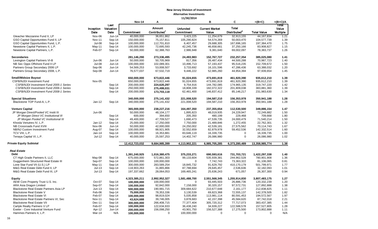|                                         |               |                   | <b>Nov-14</b>  | Α                        |                   | в                     | C                        | $=(B+C)$           | $=(B+C)/A$      |
|-----------------------------------------|---------------|-------------------|----------------|--------------------------|-------------------|-----------------------|--------------------------|--------------------|-----------------|
|                                         | Inception     | Last<br>Valuation |                | Amount                   | <b>Unfunded</b>   | <b>Current Market</b> | Total                    |                    | Total<br>Value  |
|                                         | Date          | Date              | Commitment     | Contributed <sup>1</sup> | <b>Commitment</b> | Value                 | Distributed <sup>2</sup> | <b>Total Value</b> | <b>Multiple</b> |
| Gleacher Mezzanine Fund II, LP          | Nov-06        | $Jun-14$          | 40,000,000     | 36,651,862               | 3,423,225         | 11,254,679            | 32,913,155               | 44, 167, 834       | 1.21            |
| GSO Capital Opportunities Fund II, LP   | <b>Nov-11</b> | Sep-14            | 150,000,000    | 75,157,811               | 105,290,824       | 54,574,269            | 50,003,470               | 104,577,739        | 1.39            |
| GSO Capital Opportunities Fund, L.P.    | <b>Jul-08</b> | Sep-14            | 100,000,000    | 112,701,810              | 6.407.457         | 29,688,305            | 167,696,165              | 197,384,470        | 1.75            |
| Newstone Capital Partners II, L.P.      | May-11        | Sep-14            | 100,000,000    | 72,695,593               | 42,245,736        | 46,658,661            | 37,250,166               | 83,908,827         | 1.15            |
| Newstone Capital Partners, L.P.         | Feb-07        | Sep-14            | 50,000,000     | 62,388,763               | 2,986,948         | 9,381,640             | 69,002,097               | 78,383,737         | 1.26            |
| <b>Secondaries</b>                      |               |                   | 281,146,290    | 273,336,495              | 24,493,983        | 152,767,727           | 232,257,354              | 385,025,080        | 1.41            |
| Lexington Capital Partners VI-B         | Jun-06        | Jun-14            | 50,000,000     | 50,705,969               | 817,356           | 26,487,434            | 44,500,288               | 70,987,723         | 1.40            |
| NB Sec Opps Offshore Fund II LP         | <b>Jul-08</b> | $Jun-14$          | 100,000,000    | 102,089,301              | 10,496,713        | 57, 193, 437          | 95,516,235               | 152,709,672        | 1.50            |
| Partners Group Secondary 2006 LP        | Sep-06        | $Jun-14$          | 54,569,253     | 53,008,507               | 3,733,692         | 16,101,596            | 47,286,436               | 63,388,032         | 1.20            |
| Partners Group Secondary 2008, L.P.     | Sep-08        | Jun-14            | 76,577,037     | 67,532,719               | 9,446,222         | 52,985,260            | 44,954,394               | 97,939,654         | 1.45            |
| <b>Small/Midsize Buyout</b>             |               |                   | 650,000,000    | 673,822,446              | 91,024,655        | 473,691,819           | 461,920,390              | 935,612,210        | 1.39            |
| <b>CSFB/NJDI Investment Fund</b>        | Nov-05        |                   | 650,000,000    | 673,822,446              | 91,024,655        | 473,691,819           | 461,920,390              | 935,612,210        | 1.39            |
| CSFB/NJDI Investment Fund 2005-1 Series |               | Sep-14            | 200,000,000    | 224,620,297              | 9,754,916         | 144,782,085           | 174,965,135              | 319,747,220        | 1.42            |
| CSFB/NJDI Investment Fund 2006-1 Series |               | Sep-14            | 250,000,000    | 275,499,031              | 18,808,339        | 182,072,322           | 201,809,038              | 383,881,360        | 1.39            |
| CSFB/NJDI Investment Fund 2008-1 Series |               | Sep-14            | 200,000,000    | 173,703,118              | 62,461,400        | 146,837,412           | 85,146,217               | 231,983,630        | 1.34            |
| <b>Special Situations</b>               |               |                   | 340,000,000    | 275,141,432              | 221,008,520       | 194,587,210           | 156,353,978              | 350,941,188        | 1.28            |
| Blackstone TOP Fund-A, L.P.             | $Jan-12$      | Sep-14            | 340,000,000    | 275, 141, 432            | 221,008,520       | 194,587,210           | 156,353,978              | 350,941,188        | 1.28            |
| <b>Venture Capital</b>                  |               |                   | 365,000,000    | 238,227,216              | 164,497,350       | 237,355,654           | 112,530,500              | 349,886,154        | 1.47            |
| JP Morgan Direct/Pooled VC Instit III   | Jun-06        |                   | 50,000,000     | 48,104,177               | 1,895,823         | 48,019,935            | 24,229,947               | 72,249,882         | 1.50            |
| JP Morgan Direct VC Institutional III   |               | Sep-14            | 600,000        | 394,650                  | 205,350           | 480,199               | 229,468                  | 709,668            | 1.80            |
| JP Morgan Pooled VC Institutional III   |               | Sep-14            | 49,400,000     | 47,709,527               | 1,690,473         | 47,539,735            | 24,000,479               | 71,540,214         | 1.50            |
| Khosla Venutres IV, L.P.                | $Jan-12$      | Sep-14            | 25,000,000     | 17,250,000               | 7,750,000         | 21,489,846            | 1,272,455                | 22,762,301         | 1.32            |
| NB Crossroads Fund XVIII                | Nov-06        | $Jun-14$          | 50,000,000     | 42,000,000               | 24,250,002        | 42,539,181            | 27,575,562               | 70,114,743         | 1.67            |
| NB/NJ Custom Investment Fund            | Aug-07        | Sep-14            | 100,000,000    | 88,921,905               | 32,552,659        | 82,879,978            | 59,452,536               | 142,332,514        | 1.60            |
| TCV VIII, L.P.                          | Jan-14        | Sep-14            | 100,000,000    | 16,353,881               | 83,646,119        | 16,339,735            | 0                        | 16,339,735         | 1.00            |
| Tenaya Capital VI, L.P.                 | $Jul-12$      | Sep-14            | 40,000,000     | 25,597,253               | 14,402,747        | 26,086,980            | 0                        | 26,086,980         | 1.02            |
| <b>Private Equity Subtotal</b>          |               |                   | 12,412,723,032 | 9,684,985,399            | 4,113,902,221     | 6,985,705,285         | 6,373,280,489            | 13,358,985,774     | 1.38            |
| <b>Real Estate</b>                      |               |                   |                |                          |                   |                       |                          |                    |                 |
| <b>Debt</b>                             |               |                   | 1,391,240,925  | 1,016,380,475            | 375,233,271       | 690,593,616           | 731,703,721              | 1,422,297,338      | 1.40            |
| CT High Grade Partners II, LLC          | May-08        | Sep-14            | 675,000,000    | 572,861,303              | 99,133,604        | 535,939,381           | 244,962,528              | 780,901,908        | 1.36            |
| Guggenheim Structured Real Estate III   | Sep-07        | Sep-14            | 100,000,000    | 100,000,000              | $\Omega$          | 7,742,743             | 73,363,322               | 81,106,065         | 0.81            |
| Lone Star Fund VII (U.S.) LP            | May-11        | Sep-14            | 300,000,000    | 283,589,254              | 18,845,732        | 91,629,792            | 410,170,179              | 501,799,971        | 1.77            |
| M&G Real Estate Debt Fund II, LP        | $Jul-13$      | Sep-14            | 118,903,263    | 31,865,866               | 87,788,694        | 29,645,457            | 2,536,636                | 32,182,093         | 1.01            |
| M&G Real Estate Debt Fund III, LP       | $Jul-13$      | Sep-14            | 197,337,662    | 28,064,053               | 169,465,241       | 25,636,243            | 671,057                  | 26,307,300         | 0.94            |
| <b>Equity</b>                           |               |                   | 4,323,385,211  | 2,992,952,327            | 1,581,488,700     | 2,551,568,345         | 1,255,914,830            | 3,807,483,175      | 1.27            |
| AEW Core Property Trust U.S. Inc.       | Oct-07        | Sep-14            | 100,000,000    | 100,000,000              | 0                 | 93,445,503            | 26,886,736               | 120,332,239        | 1.20            |
| ARA Asia Dragon Limited                 | Sep-07        | $Sep-14$          | 100,000,000    | 92,842,000               | 7,158,000         | 30,320,157            | 97,572,731               | 127,892,888        | 1.38            |
| Blackstone Real Estate Partners Asia LP | $Jun-13$      | Sep-14            | 500,000,000    | 190,981,715              | 309,684,622       | 210,677,648           | 2,161,177                | 212,838,825        | 1.11            |
| <b>Blackstone Real Estate V</b>         | Feb-06        | Sep-14            | 75,000,000     | 78,353,336               | 3,130,539         | 69,823,368            | 72,555,137               | 142,378,505        | 1.82            |
| <b>Blackstone Real Estate VI</b>        | Feb-07        | Sep-14            | 100,000,000    | 98,819,024               | 5,035,858         | 113,981,114           | 80,591,453               | 194,572,567        | 1.97            |
| Blackstone Real Estate Partners VI, Sec | Nov-11        | Sep-14            | 43,624,688     | 39,746,005               | 3,878,683         | 42,157,398            | 45,584,620               | 87,742,018         | 2.21            |
| <b>Blackstone Real Estate VII</b>       | Dec-11        | Sep-14            | 300,000,000    | 266,408,715              | 77,377,404        | 305,720,312           | 77,717,073               | 383,437,385        | 1.44            |
| Carlyle Realty Partners V LP            | Feb-07        | Sep-14            | 100,000,000    | 122,634,933              | 36,438,240        | 34,939,227            | 122,588,578              | 157,527,805        | 1.28            |
| Exeter - Core Industrial Venture Fund   | Apr-12        | Jun-14            | 200,000,000    | 156,098,250              | 43,901,750        | 156,527,388           | 17,275,500               | 173,802,888        | 1.11            |
| Hammes Partners II, L.P.                | Mar-14        | N/A               | 100,000,000    | 0                        | 100,000,000       | 0                     | 0                        | 0                  | N/A             |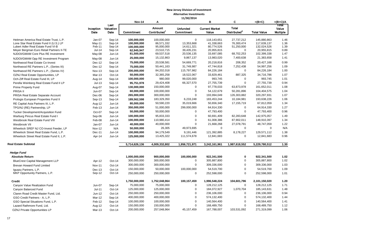|                                           |                   |                           | <b>Nov-14</b> | A                                  |                               | B                              | C                                        | $=(B+C)$           | $=(B+C)/A$                        |
|-------------------------------------------|-------------------|---------------------------|---------------|------------------------------------|-------------------------------|--------------------------------|------------------------------------------|--------------------|-----------------------------------|
|                                           | Inception<br>Date | Last<br>Valuation<br>Date | Commitment    | Amount<br>Contributed <sup>1</sup> | <b>Unfunded</b><br>Commitment | <b>Current Market</b><br>Value | <b>Total</b><br>Distributed <sup>2</sup> | <b>Total Value</b> | Total<br>Value<br><b>Multiple</b> |
| Heitman America Real Estate Trust, L.P.   | Jan-07            | Sep-14                    | 100,000,000   | 100,000,000                        | $\mathbf 0$                   | 118,143,651                    | 27,737,212                               | 145,880,863        | 1.46                              |
| Lone Star Real Estate Fund II (U.S.) LP   | May-11            | Sep-14                    | 100,000,000   | 86,571,332                         | 13,353,668                    | 41,338,663                     | 76,300,474                               | 117,639,137        | 1.36                              |
| Lubert Adler Real Estate Fund VI-B        | Feb-11            | Sep-14                    | 100,000,000   | 95,000,000                         | 14,611,321                    | 80,774,526                     | 51,250,000                               | 132,024,526        | 1.39                              |
| Meyer Bergman Euro Retail Partners II-TE  | Jul-14            | Sep-14                    | 62,945,947    | 23,510,715                         | 39,435,231                    | 20,955,815                     | $\mathbf 0$                              | 20,955,815         | 0.89                              |
| NJDOI/GMAM Core Plus RE Investment        | May-08            | $Jun-14$                  | 81,500,000    | 69,537,518                         | 20,536,135                    | 33,697,085                     | 68,702,253                               | 102,399,338        | 1.47                              |
| NJDOI/GMAM Opp RE Investment Program      | May-08            | $Jun-14$                  | 25,000,000    | 15,132,863                         | 9,867,137                     | 13,983,020                     | 7,400,638                                | 21,383,658         | 1.41                              |
| Northwood Real Estate Co-Invest           | Dec-12            | Sep-14                    | 75,000,000    | 20,538,581                         | 54,669,771                    | 20,218,816                     | 208,352                                  | 20,427,168         | 0.99                              |
| Northwood RE Partners L.P., (Series III)  | Dec-12            | Sep-14                    | 75,000,000    | 50,441,163                         | 31,749,987                    | 47,744,818                     | 7,252,438                                | 54,997,256         | 1.09                              |
| Northwood RE Partners L.P., (Series IV)   | Nov-13            | Sep-14                    | 200,000,000   | 84,202,018                         | 115,797,982                   | 84,226,184                     | $\mathbf 0$                              | 84,226,184         | 1.00                              |
| OZNJ Real Estate Opportunities, LP        | Mar-13            | Oct-14                    | 50,000,000    | 32,365,258                         | 18,522,067                    | 33,829,461                     | 887,325                                  | 34,716,786         | 1.07                              |
| Och-Ziff Real Estate Fund III, LP         | Aug-14            | Sep-14                    | 100,000,000   | 980,000                            | 99,020,000                    | 993,745                        | $\mathbf 0$                              | 993,745            | 1.01                              |
| Perella Weinberg Real Estate Fund II LP   | $Jul-13$          | Sep-14                    | 95,751,978    | 29,424,408                         | 66,327,570                    | 27,755,739                     | $\mathbf 0$                              | 27,755,739         | 0.94                              |
| <b>Prime Property Fund</b>                | Aug-07            | Sep-14                    | 130,000,000   | 150,000,000                        | $\Omega$                      | 97,778,033                     | 63,873,978                               | 161,652,011        | 1.08                              |
| PRISA II                                  | Jun-07            | Sep-14                    | 60,000,000    | 100,000,000                        | $\pmb{0}$                     | 54,122,679                     | 50,281,896                               | 104,404,575        | 1.04                              |
| PRISA Real Estate Separate Account        | Dec-06            | Sep-14                    | 265,000,000   | 300,000,000                        | $\Omega$                      | 193,994,049                    | 126,303,882                              | 320,297,931        | 1.07                              |
| Prologis European Properties Fund II      | Sep-13            | Sep-14                    | 189,562,598   | 183,329,350                        | 6,233,248                     | 183,453,244                    | 10,184,981                               | 193,638,226        | 1.06                              |
| RE Capital Asia Partners III, L.P.        | Aug-12            | $Jun-14$                  | 80,000,000    | 50,590,220                         | 35,019,666                    | 50,656,340                     | 17, 155, 719                             | 67,812,059         | 1.34                              |
| TPG/NJ (RE) Partnership, LP               | Feb-13            | $Jun-14$                  | 350,000,000   | 51,000,000                         | 299,000,000                   | 64,914,330                     | 0                                        | 64,914,330         | 1.27                              |
| Tucker Development/Acquisition Fund       | Oct-07            | Sep-14                    | 50,000,000    | 50,000,000                         | $\mathbf 0$                   | 47,793,400                     | $\mathbf 0$                              | 47,793,400         | 0.96                              |
| Warburg Pincus Real Estate Fund I         | Sep-06            | $Jun-14$                  | 100,000,000   | 95,833,333                         | $\Omega$                      | 60,691,409                     | 82,283,648                               | 142,975,057        | 1.49                              |
| Westbrook Real Estate Fund VIII           | Feb-08            | $Jun-14$                  | 100,000,000   | 110,980,414                        | $\Omega$                      | 61,008,386                     | 87,902,011                               | 148,910,397        | 1.34                              |
| Westbrook VII                             | Jan-07            | $Jun-14$                  | 40,000,000    | 40,000,000                         | $\Omega$                      | 21,668,268                     | 27,078,791                               | 48,747,059         | 1.22                              |
| Wheelock SREF NJ CO-Invest Feeder, LP     | <b>Nov-12</b>     | N/A                       | 50,000,000    | 26,305                             | 49,973,695                    | $\mathbf 0$                    | 0                                        | $\mathbf 0$        | N/A                               |
| Wheelock Street Real Estate Fund, L.P.    | Dec-11            | $Jun-14$                  | 100,000,000   | 94,179,549                         | 9,191,446                     | 121,392,885                    | 8,178,227                                | 129,571,112        | 1.38                              |
| Wheelock Street Real Estate Fund II, L.P. | Apr-14            | $Jun-14$                  | 125,000,000   | 13,425,322                         | 111,574,678                   | 12,841,683                     | 0                                        | 12,841,683         | 0.96                              |
| <b>Real Estate Subtotal</b>               |                   |                           | 5,714,626,136 | 4,009,332,802                      | 1,956,721,971                 | 3,242,161,961                  | 1,987,618,552                            | 5,229,780,512      | 1.30                              |
| <b>Hedge Fund</b>                         |                   |                           |               |                                    |                               |                                |                                          |                    |                                   |
| <b>Absolute Return</b>                    |                   |                           | 1,000,000,000 | 900,000,000                        | 100,000,000                   | 922,341,500                    | 0                                        | 922,341,500        | 1.02                              |
| <b>BlueCrest Capital Management LLP</b>   | Apr-12            | Oct-14                    | 300,000,000   | 300,000,000                        | $\mathbf 0$                   | 305,887,800                    | $\mathbf 0$                              | 305,887,800        | 1.02                              |
| Brevan Howard Fund Limited                | <b>Nov-11</b>     | Oct-14                    | 300,000,000   | 300,000,000                        | $\mathbf 0$                   | 309,336,000                    | $\mathbf 0$                              | 309,336,000        | 1.03                              |
| Iguazu Partners, L.P.                     | Dec-13            | Oct-14                    | 150,000,000   | 50,000,000                         | 100,000,000                   | 54,519,700                     | $\mathbf 0$                              | 54,519,700         | 1.09                              |
| MKP Opportunity Partners, L.P.            | Sep-12            | Oct-14                    | 250,000,000   | 250,000,000                        | $\mathbf 0$                   | 252,598,000                    | $\mathbf 0$                              | 252,598,000        | 1.01                              |
| <b>Credit</b>                             |                   |                           | 1,750,000,000 | 1,752,048,964                      | 100,157,459                   | 1,996,548,224                  | 104,601,796                              | 2,101,150,020      | 1.20                              |
| Canyon Value Realization Fund             | <b>Jun-07</b>     | Sep-14                    | 75,000,000    | 75,000,000                         | $\mathbf 0$                   | 128,212,125                    | $\mathbf 0$                              | 128,212,125        | 1.71                              |
| Canyon Balanced Fund                      | Jul-11            | Oct-14                    | 125,000,000   | 125,000,000                        | $\mathbf 0$                   | 184,072,927                    | 1,070,704                                | 185,143,631        | 1.48                              |
| Claren Road Credit Master Fund, Ltd.      | Jun-12            | Oct-14                    | 250,000,000   | 250,000,000                        | $\mathbf 0$                   | 236,106,000                    | 0                                        | 236,106,000        | 0.94                              |
| GSO Credit Partners - A, L.P.             | Mar-12            | Sep-14                    | 400,000,000   | 400,000,000                        | $\mathbf 0$                   | 574,132,400                    | $\mathsf 0$                              | 574,132,400        | 1.44                              |
| GSO Special Situations Fund, L.P.         | Feb-12            | Sep-14                    | 100,000,000   | 100,000,000                        | $\mathbf 0$                   | 140,564,400                    | $\mathbf 0$                              | 140,564,400        | 1.41                              |
| Lazard Rathmore Fund, Ltd.                | Aug-12            | Oct-14                    | 150,000,000   | 150,000,000                        | $\mathbf 0$                   | 168,489,750                    | $\mathbf 0$                              | 168,489,750        | 1.12                              |
| OZNJ Private Opportunities LP             | Mar-13            | Oct-14                    | 200,000,000   | 257,048,964                        | 45, 157, 459                  | 167,788,007                    | 103,531,092                              | 271,319,099        | 1.06                              |
|                                           |                   |                           |               |                                    |                               |                                |                                          |                    |                                   |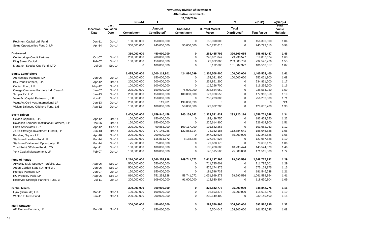|                                              |                   |                           | <b>Nov-14</b> | А                                  |                               | B                              | C                                        | $=(B+C)$           | $=(B+C)/A$                        |
|----------------------------------------------|-------------------|---------------------------|---------------|------------------------------------|-------------------------------|--------------------------------|------------------------------------------|--------------------|-----------------------------------|
|                                              | Inception<br>Date | Last<br>Valuation<br>Date | Commitment    | Amount<br>Contributed <sup>1</sup> | <b>Unfunded</b><br>Commitment | <b>Current Market</b><br>Value | <b>Total</b><br>Distributed <sup>2</sup> | <b>Total Value</b> | Total<br>Value<br><b>Multiple</b> |
| Regiment Capital Ltd. Fund                   | Dec-11            | Oct-14                    | 150,000,000   | 150,000,000                        | $\Omega$                      | 156,390,000                    | $\mathbf 0$                              | 156,390,000        | 1.04                              |
| Solus Opportunities Fund 3, LP               | Apr-14            | Oct-14                    | 300,000,000   | 245,000,000                        | 55,000,000                    | 240,792,615                    | 0                                        | 240,792,615        | 0.98                              |
|                                              |                   |                           |               |                                    |                               |                                |                                          |                    |                                   |
| <b>Distressed</b>                            |                   |                           | 350,000,000   | 450,000,000                        | 0                             | 268,455,792                    | 390,509,655                              | 658,965,447        | 1.46                              |
| Centerbridge Credit Partners                 | Oct-07            | Oct-14                    | 200,000,000   | 200,000,000                        | $\mathbf 0$                   | 240,621,047                    | 79,236,577                               | 319,857,624        | 1.60                              |
| King Street Capital                          | Feb-07            | Oct-14                    | 150,000,000   | 150,000,000                        | $\pmb{0}$                     | 22,662,060                     | 209,885,706                              | 232,547,766        | 1.55                              |
| Marathon Special Opp Fund, LTD               | Jul-08            | Sep-14                    | $\pmb{0}$     | 100,000,000                        | $\pmb{0}$                     | 5,172,685                      | 101,387,372                              | 106,560,057        | 1.07                              |
| <b>Equity Long/ Short</b>                    |                   |                           | 1,425,000,000 | 1,000,119,901                      | 424,880,099                   | 1,305,508,400                  | 100,000,000                              | 1,405,508,400      | 1.41                              |
| Archipelago Partners, LP                     | Jun-06            | Oct-14                    | 150,000,000   | 150,000,000                        | $\mathbf 0$                   | 152,021,800                    | 100,000,000                              | 252,021,800        | 1.68                              |
| Bay Pond Partners, L.P.                      | Apr-12            | Oct-14                    | 200,000,000   | 200,000,000                        | $\mathbf 0$                   | 234,861,200                    | 0                                        | 234,861,200        | 1.17                              |
| Cadian Fund, L.P.                            | May-12            | Oct-14                    | 100,000,000   | 100,000,000                        | $\Omega$                      | 116,256,700                    | $\mathbf 0$                              | 116,256,700        | 1.16                              |
| Omega Overseas Partners Ltd. Class-B         | Jan-07            | Oct-14                    | 225,000,000   | 150,000,000                        | 75,000,000                    | 238,564,950                    | $\mathbf 0$                              | 238,564,950        | 1.59                              |
| Scopia PX, LLC                               | $Jan-13$          | $Oct-14$                  | 250,000,000   | 150,000,000                        | 100,000,000                   | 177,968,550                    | $\mathbf 0$                              | 177,968,550        | 1.19                              |
| ValueAct Capital Partners II, L.P.           | <b>Nov-11</b>     | Oct-14                    | 150,000,000   | 150,000,000                        | $\mathbf 0$                   | 256,233,000                    | $\mathbf 0$                              | 256,233,000        | 1.71                              |
| ValueAct Co-Invest International LP          | $Jun-13$          | Oct-14                    | 200,000,000   | 119,901                            | 199,880,099                   | $\mathbf 0$                    | $\mathbf 0$                              | $\mathbf 0$        | N/A                               |
| Visium Balanced Offshore Fund, Ltd           | Aug-12            | Oct-14                    | 150,000,000   | 100,000,000                        | 50,000,000                    | 129,602,200                    | $\mathbf 0$                              | 129,602,200        | 1.30                              |
| <b>Event Driven</b>                          |                   |                           | 1,400,000,000 | 1,159,840,458                      | 240,159,542                   | 1,323,581,432                  | 233,120,116                              | 1,556,701,548      | 1.34                              |
| Cevian Capital II, L.P.                      | Apr-12            | $Oct-14$                  | 150,000,000   | 150,000,000                        | $\mathbf 0$                   | 183,429,750                    | $\mathbf 0$                              | 183,429,750        | 1.22                              |
| Davidson Kempner Institutional Partners, L.P | Dec-06            | Oct-14                    | 150,000,000   | 150,000,000                        | $\mathbf 0$                   | 226,614,900                    | $\mathbf 0$                              | 226,614,900        | 1.51                              |
| Elliott Associates, L.P.                     | Apr-12            | Sep-14                    | 200,000,000   | 90,883,000                         | 109,117,000                   | 101,682,263                    | $\mathbf 0$                              | 101,682,263        | 1.12                              |
| JANA Strategic Investment Fund II, LP        | $Jun-13$          | Oct-14                    | 300,000,000   | 177,146,286                        | 122,853,714                   | 75,162,186                     | 112,884,641                              | 188,046,828        | 1.06                              |
| Pershing Square LP                           | Apr-10            | Oct-14                    | 200,000,000   | 200,000,000                        | $\mathbf 0$                   | 247,242,525                    | 85,000,000                               | 332,242,525        | 1.66                              |
| Starboard Leaders Fund LP                    | Mar-14            | Oct-14                    | 125,000,000   | 116,811,172                        | 8,188,828                     | 127,957,528                    | $\mathbf 0$                              | 127,957,528        | 1.10                              |
| Starboard Value and Opportunity LP           | Mar-14            | Oct-14                    | 75,000,000    | 75,000,000                         | $\mathbf 0$                   | 79,688,175                     | $\mathbf 0$                              | 79,688,175         | 1.06                              |
| Third Point Offshore Fund, LTD.              | Apr-11            | Oct-14                    | 100,000,000   | 100,000,000                        | $\pmb{0}$                     | 135,288,605                    | 10,235,474                               | 145,524,079        | 1.46                              |
| York Capital Management, LP                  | Feb-07            | Oct-14                    | 100,000,000   | 100,000,000                        | $\mathbf 0$                   | 146,515,500                    | 25,000,000                               | 171,515,500        | 1.72                              |
| <b>Fund of Funds</b>                         |                   |                           | 2,210,000,000 | 2,060,258,928                      | 149,741,072                   | 2,619,137,296                  | 29,590,586                               | 2,648,727,882      | 1.29                              |
| AIMS/NJ Multi-Strategy Portfolio, LLC        | Aug-06            | Sep-14                    | 550,000,000   | 550,000,000                        | $\mathbf 0$                   | 711,785,601                    | $\mathbf 0$                              | 711,785,601        | 1.29                              |
| Arden Garden State NJ Fund LP.               | Jun-06            | Sep-14                    | 500,000,000   | 500,000,000                        | $\mathbf 0$                   | 575,174,875                    | $\mathbf 0$                              | 575,174,875        | 1.15                              |
| Protege Partners, LP                         | <b>Jun-07</b>     | Oct-14                    | 150,000,000   | 150,000,000                        | $\pmb{0}$                     | 181,546,738                    | $\mathbf 0$                              | 181,546,738        | 1.21                              |
| RC Woodley Park, LP                          | Aug-06            | Sep-14                    | 810,000,000   | 751,258,928                        | 58,741,072                    | 1,031,999,278                  | 29,590,586                               | 1,061,589,864      | 1.41                              |
| Reservoir Strategic Partners Fund, LP        | $Jul-11$          | $Oct-14$                  | 200,000,000   | 109,000,000                        | 91,000,000                    | 118,630,804                    | $\mathbf 0$                              | 118,630,804        | 1.09                              |
|                                              |                   |                           |               |                                    |                               |                                |                                          |                    |                                   |
| <b>Global Macro</b>                          |                   |                           | 300,000,000   | 300,000,000                        | 0                             | 323,842,775                    | 25,000,000                               | 348,842,775        | 1.16                              |
| Lynx (Bermuda) Ltd.                          | Mar-11            | Oct-14                    | 100,000,000   | 100,000,000                        | $\pmb{0}$                     | 93,693,375                     | 25,000,000                               | 118,693,375        | 1.19                              |
| Winton Futures Fund                          | $Jan-11$          | Oct-14                    | 200,000,000   | 200,000,000                        | $\pmb{0}$                     | 230,149,400                    | $\mathbf 0$                              | 230,149,400        | 1.15                              |
| <b>Multi-Strategy</b>                        |                   |                           | 300,000,000   | 450,000,000                        | $\pmb{0}$                     | 288,760,895                    | 304,800,000                              | 593,560,895        | 1.32                              |
| AG Garden Partners, LP                       | Mar-06            | $Oct-14$                  | 0             | 150,000,000                        | $\mathbf 0$                   | 6,704,045                      | 154,800,000                              | 161,504,045        | 1.08                              |
|                                              |                   |                           |               |                                    |                               |                                |                                          |                    |                                   |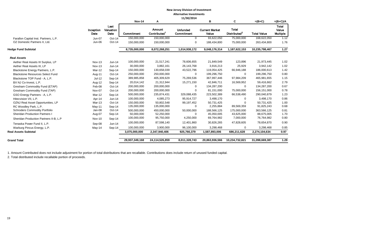|                                         |                   |                           |                |                                     | 11/30/2014                    |                                |                                          |                    |                                          |
|-----------------------------------------|-------------------|---------------------------|----------------|-------------------------------------|-------------------------------|--------------------------------|------------------------------------------|--------------------|------------------------------------------|
|                                         |                   |                           | <b>Nov-14</b>  | А                                   |                               | в                              | C                                        | $=(B+C)$           | $=(B+C)/A$                               |
|                                         | Inception<br>Date | Last<br>Valuation<br>Date | Commitment     | <b>Amount</b><br><b>Contributed</b> | <b>Unfunded</b><br>Commitment | <b>Current Market</b><br>Value | <b>Total</b><br>Distributed <sup>2</sup> | <b>Total Value</b> | <b>Total</b><br>Value<br><b>Multiple</b> |
| Farallon Capital Inst. Partners, L.P.   | Jun-07            | Oct-14                    | 150,000,000    | 150,000,000                         | $\mathbf 0$                   | 93,622,050                     | 75,000,000                               | 168,622,050        | 1.12                                     |
| OZ Domestic Partners II, Ltd.           | Jun-06            | Oct-14                    | 150,000,000    | 150,000,000                         | 0                             | 188,434,800                    | 75,000,000                               | 263,434,800        | 1.76                                     |
| <b>Hedge Fund Subtotal</b>              |                   |                           | 8,735,000,000  | 8,072,268,251                       | 1,014,938,172                 | 9,048,176,314                  | 1,187,622,153                            | 10,235,798,467     | 1.27                                     |
| <b>Real Assets</b>                      |                   |                           |                |                                     |                               |                                |                                          |                    |                                          |
| Aether Real Assets III Surplus, LP      | Nov-13            | $Jun-14$                  | 100,000,000    | 21,517,241                          | 78,606,655                    | 21,849,549                     | 123,896                                  | 21,973,445         | 1.02                                     |
| Aether Real Assets III, LP              | Nov-13            | $Jun-14$                  | 30,000,000     | 3,882,161                           | 26,143,768                    | 3,916,213                      | 25,929                                   | 3,942,142          | 1.02                                     |
| Blackstone Energy Partners, L.P.        | Mar-12            | Sep-14                    | 150,000,000    | 130,658,039                         | 43,522,796                    | 119,054,425                    | 66,946,188                               | 186,000,613        | 1.42                                     |
| <b>Blackstone Resources Select Fund</b> | Aug-11            | $Oct-14$                  | 250,000,000    | 250,000,000                         | $\Omega$                      | 199,296,750                    | $\mathbf 0$                              | 199,296,750        | 0.80                                     |
| Blackstone TOP Fund - A, L.P.           | Jul-12            | Sep-14                    | 389,985,858    | 405,309,629                         | 75,269,536                    | 367,997,446                    | 97,984,209                               | 465,981,655        | 1.15                                     |
| BX NJ Co-Invest, L.P.                   | Aug-12            | Sep-14                    | 20,014,142     | 21,312,944                          | 15,271,150                    | 42,846,711                     | 16,569,952                               | 59,416,662         | 2.79                                     |
| Gresham Commodity Fund (ETAP)           | Feb-08            | Oct-14                    | 200,000,000    | 200,000,000                         | $\Omega$                      | 134,287,200                    | $\mathbf 0$                              | 134,287,200        | 0.67                                     |
| Gresham Commodity Fund (TAP)            | Nov-07            | Oct-14                    | 200,000,000    | 200,000,000                         | $\Omega$                      | 81,151,000                     | 75,000,000                               | 156,151,000        | 0.78                                     |
| GSO Energy Partners - A, L.P.           | Mar-12            | Sep-14                    | 500,000,000    | 235,874,431                         | 329,088,435                   | 223,502,389                    | 66,538,490                               | 290,040,879        | 1.23                                     |
| Hitecvision VII. L.P.                   | Apr-14            | $Jun-14$                  | 100,000,000    | 4,085,273                           | 95,914,727                    | 3,498,170                      | $\Omega$                                 | 3,498,170          | 0.86                                     |
| OZNJ Real Asset Opportunities, LP       | Mar-13            | Oct-14                    | 150,000,000    | 50,802,548                          | 99,197,452                    | 50,731,425                     | $\Omega$                                 | 50,731,425         | 1.00                                     |
| RC Woodley Park, L.P.                   | $May-11$          | Sep-14                    | 135,000,000    | 135,000,000                         | $\Omega$                      | 2,255,884                      | 89,569,359                               | 91,825,243         | 0.68                                     |
| <b>Schroders Commodity Portfolio</b>    | Jan-08            | Oct-14                    | 500,000,000    | 450,000,000                         | 50,000,000                    | 188,566,125                    | 175,000,000                              | 363,566,125        | 0.81                                     |
| <b>Sheridan Production Partners I</b>   | Aug-07            | Sep-14                    | 50,000,000     | 52,250,000                          | $\Omega$                      | 45,050,005                     | 43,625,000                               | 88,675,005         | 1.70                                     |
| Sheridan Production Partners II-B, L.P  | <b>Nov-10</b>     | Sep-14                    | 100,000,000    | 95,750,000                          | 4,250,000                     | 69,764,982                     | 7,000,000                                | 76,764,982         | 0.80                                     |
| Tenaska Power Fund II, L.P.             | Sep-08            | $Jun-14$                  | 100,000,000    | 87,598,140                          | 12,401,860                    | 30,826,265                     | 47,828,605                               | 78,654,870         | 0.90                                     |
| Warburg Pincus Energy, L.P.             | May-14            | Sep-14                    | 100,000,000    | 3,900,000                           | 96,100,000                    | 3,298,468                      | $\mathbf 0$                              | 3,298,468          | 0.85                                     |
| <b>Real Assets Subtotal</b>             |                   |                           | 3,075,000,000  | 2,347,940,406                       | 925,766,379                   | 1,587,893,006                  | 686,211,628                              | 2,274,104,634      | 0.97                                     |
| <b>Grand Total</b>                      |                   |                           | 29,937,349,168 | 24,114,526,859                      | 8.011,328.743                 | 20,863,936,566                 | 10,234,732,821                           | 31,098,669,387     | 1.29                                     |
|                                         |                   |                           |                |                                     |                               |                                |                                          |                    |                                          |

1. Amount Contributed does not include adjustment for portion of total distributions that are recallable. Contributions does include return of unused funded capital.

2. Total distributed include recallable portion of proceeds.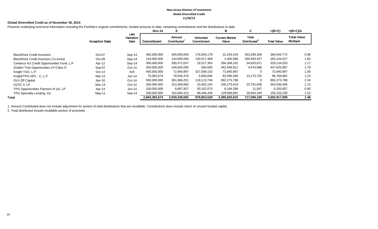#### **New Jersey Division of Investment Global Diversified Credit 11/30/14**

#### **Global Diversified Credit as of November 30, 2014**

Presents underlying fund level information including the Portfolio's original commitments, funded amounts to date, remaining commitments and the distributions to date.

|                                             |                       |                                  | <b>Nov-14</b> | A                                  |                                      | в                              | C                                        | $=(B+C)$           | $=(B+C)/A$                            |
|---------------------------------------------|-----------------------|----------------------------------|---------------|------------------------------------|--------------------------------------|--------------------------------|------------------------------------------|--------------------|---------------------------------------|
|                                             | <b>Inception Date</b> | Last<br><b>Valuation</b><br>Date | Commitment    | Amount<br>Contributed <sup>1</sup> | <b>Unfunded</b><br><b>Commitment</b> | <b>Current Market</b><br>Value | <b>Total</b><br>Distributed <sup>2</sup> | <b>Total Value</b> | <b>Total Value</b><br><b>Multiple</b> |
|                                             |                       |                                  |               |                                    |                                      |                                |                                          |                    |                                       |
| <b>BlackRock Credit Investors</b>           | Oct-07                | Sep-14                           | 400,000,000   | 400,000,000                        | 176,645,178                          | 31,254,416                     | 353,290,356                              | 384,544,772        | 0.96                                  |
| <b>BlackRock Credit Investors Co-Invest</b> | $Oct-09$              | Sep-14                           | 144,000,000   | 144,000,000                        | 130,017,469                          | 2,460,580                      | 260,693,437                              | 263,154,017        | 1.83                                  |
| Cerberus NJ Credit Opportunities Fund, L.P. | Apr-12                | Sep-14                           | 300,000,000   | 280,472,637                        | 19,527,363                           | 294,308,162                    | 34,825,871                               | 329,134,033        | 1.17                                  |
| Golden Tree Opportunities LP-Class D        | Sep-07                | $Oct-14$                         | 250,000,000   | 249,500,000                        | 500,000                              | 442,949,911                    | 4,676,086                                | 447,625,997        | 1.79                                  |
| Knight TAO, L.P.                            | $Oct-14$              | N/A                              | 400,000,000   | 72,940,897                         | 327,059,103                          | 72,940,897                     | 0                                        | 72,940,897         | 1.00                                  |
| Knight/TPG NPL - C, L.P.                    | Mar-12                | $Jun-14$                         | 70,382,674    | 78,556,376                         | 5,000,000                            | 83,596,260                     | 13,173,702                               | 96,769,962         | 1.23                                  |
| Och Ziff Capital                            | Apr-10                | Oct-14                           | 500,000,000   | 381,886,251                        | 118,113,749                          | 892,273,788                    | 0                                        | 892,273,788        | 2.34                                  |
| OZSC II, LP                                 | Mar-13                | Oct-14                           | 300,000,000   | 313,309,682                        | 10,452,154                           | 330,273,619                    | 23,761,836                               | 354,035,456        | 1.13                                  |
| TPG Opportunities Partners III (A), LP      | Apr-14                | $Jun-14$                         | 100,000,000   | 6,897,927                          | 93,102,073                           | 6,194,290                      | 11,567                                   | 6,205,857          | 0.90                                  |
| TPG Specialty Lending, Inc.                 | May-11                | Sep-14                           | 200,000,000   | 102,684,312                        | 99,446,439                           | 129,568,891                    | 26,663,340                               | 156,232,230        | 1.52                                  |
| Total                                       |                       |                                  | 2,664,382,674 | 2,030,248,082                      | 979,863,529                          | 2,285,820,815                  | 717,096,195                              | 3,002,917,009      | 1.48                                  |

1. Amount Contributed does not include adjustment for portion of total distributions that are recallable. Contributions does include return of unused funded capital.

2. Total distributed include recallable portion of proceeds.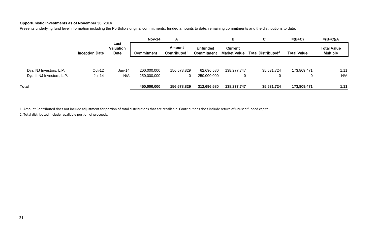## **Opportunistic Investments as of November 30, 2014**

Presents underlying fund level information including the Portfolio's original commitments, funded amounts to date, remaining commitments and the distributions to date.

|                                                       |                       |                           | <b>Nov-14</b>     | A                                  |                                      | В                              | C                              | $=(B+C)$           | $=(B+C)/A$                            |
|-------------------------------------------------------|-----------------------|---------------------------|-------------------|------------------------------------|--------------------------------------|--------------------------------|--------------------------------|--------------------|---------------------------------------|
|                                                       | <b>Inception Date</b> | Last<br>Valuation<br>Date | <b>Commitment</b> | Amount<br>Contributed <sup>1</sup> | <b>Unfunded</b><br><b>Commitment</b> | Current<br><b>Market Value</b> | Total Distributed <sup>2</sup> | <b>Total Value</b> | <b>Total Value</b><br><b>Multiple</b> |
|                                                       | Oct-12                | $Jun-14$                  | 200,000,000       | 156,578,829                        | 62,696,580                           | 138,277,747                    | 35,531,724                     | 173,809,471        | 1.11                                  |
| Dyal NJ Investors, L.P.<br>Dyal II NJ Investors, L.P. | Jul-14                | N/A                       | 250,000,000       | 0                                  | 250,000,000                          |                                | 0                              | 0                  | N/A                                   |
| <b>Total</b>                                          |                       |                           | 450,000,000       | 156,578,829                        | 312,696,580                          | 138,277,747                    | 35,531,724                     | 173,809,471        | 1.11                                  |

1. Amount Contributed does not include adjustment for portion of total distributions that are recallable. Contributions does include return of unused funded capital.

2. Total distributed include recallable portion of proceeds.